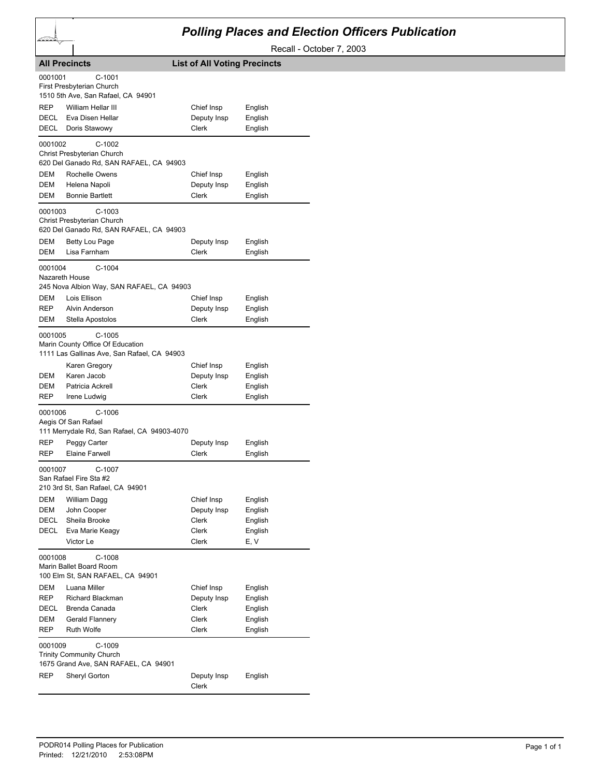## *Polling Places and Election Officers Publication*

Recall - October 7, 2003

|                           | <b>All Precincts</b>                                                                        | <b>List of All Voting Precincts</b> |                    |
|---------------------------|---------------------------------------------------------------------------------------------|-------------------------------------|--------------------|
| 0001001                   | C-1001<br>First Presbyterian Church<br>1510 5th Ave, San Rafael, CA 94901                   |                                     |                    |
| REP<br>DECL               | William Hellar III<br>Eva Disen Hellar                                                      | Chief Insp<br>Deputy Insp           | English<br>English |
| DECL                      | Doris Stawowy                                                                               | Clerk                               | English            |
| 0001002                   | $C-1002$<br>Christ Presbyterian Church<br>620 Del Ganado Rd, SAN RAFAEL, CA 94903           |                                     |                    |
| DEM                       | Rochelle Owens                                                                              | Chief Insp                          | English            |
| DEM                       | Helena Napoli                                                                               | Deputy Insp                         | English            |
| DEM                       | <b>Bonnie Bartlett</b>                                                                      | Clerk                               | English            |
| 0001003                   | $C-1003$<br>Christ Presbyterian Church<br>620 Del Ganado Rd, SAN RAFAEL, CA 94903           |                                     |                    |
| DEM                       | Betty Lou Page                                                                              | Deputy Insp                         | English            |
| <b>DEM</b>                | Lisa Farnham                                                                                | Clerk                               | English            |
| 0001004<br>Nazareth House | $C-1004$<br>245 Nova Albion Way, SAN RAFAEL, CA 94903                                       |                                     |                    |
| DEM                       | Lois Ellison                                                                                | Chief Insp                          | English            |
| REP                       | Alvin Anderson                                                                              | Deputy Insp                         | English            |
| DEM                       | Stella Apostolos                                                                            | Clerk                               | English            |
| 0001005                   | $C-1005$<br>Marin County Office Of Education<br>1111 Las Gallinas Ave, San Rafael, CA 94903 |                                     |                    |
|                           | Karen Gregory                                                                               | Chief Insp                          | English            |
| DEM                       | Karen Jacob                                                                                 | Deputy Insp                         | English            |
| DEM<br>REP                | Patricia Ackrell                                                                            | Clerk<br>Clerk                      | English            |
|                           | Irene Ludwig                                                                                |                                     | English            |
| 0001006                   | $C-1006$<br>Aegis Of San Rafael<br>111 Merrydale Rd, San Rafael, CA 94903-4070              |                                     |                    |
| REP                       | Peggy Carter                                                                                | Deputy Insp                         | English            |
| REP                       | <b>Elaine Farwell</b>                                                                       | Clerk                               | English            |
| 0001007                   | C-1007<br>San Rafael Fire Sta #2<br>210 3rd St, San Rafael, CA 94901                        |                                     |                    |
| DEM                       | William Dagg                                                                                | Chief Insp                          | English            |
| DEM                       | John Cooper                                                                                 | Deputy Insp                         | English            |
| DECL                      | Sheila Brooke                                                                               | Clerk                               | English            |
| DECL                      | Eva Marie Keagy                                                                             | Clerk                               | English            |
|                           | Victor Le                                                                                   | <b>Clerk</b>                        | E, V               |
| 0001008                   | $C-1008$<br>Marin Ballet Board Room<br>100 Elm St, SAN RAFAEL, CA 94901                     |                                     |                    |
| DEM                       | Luana Miller                                                                                | Chief Insp                          | English            |
| REP                       | Richard Blackman                                                                            | Deputy Insp                         | English            |
| DECL                      | Brenda Canada                                                                               | Clerk                               | English            |
| DEM                       | Gerald Flannery                                                                             | Clerk                               | English            |
| REP                       | <b>Ruth Wolfe</b>                                                                           | Clerk                               | English            |
| 0001009                   | $C-1009$<br>Trinity Community Church<br>1675 Grand Ave, SAN RAFAEL, CA 94901                |                                     |                    |
| REP                       | Sheryl Gorton                                                                               | Deputy Insp<br>Clerk                | English            |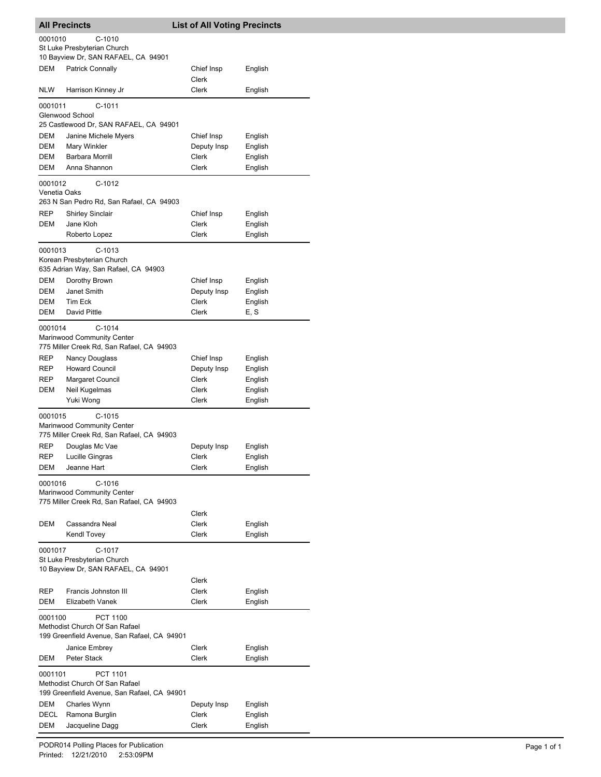| <b>All Precincts</b>    |                                                                                           | <b>List of All Voting Precincts</b> |                    |
|-------------------------|-------------------------------------------------------------------------------------------|-------------------------------------|--------------------|
| 0001010                 | $C-1010$<br>St Luke Presbyterian Church                                                   |                                     |                    |
| DEM                     | 10 Bayview Dr, SAN RAFAEL, CA 94901<br><b>Patrick Connally</b>                            | Chief Insp<br><b>Clerk</b>          | English            |
| <b>NLW</b>              | Harrison Kinney Jr                                                                        | <b>Clerk</b>                        | English            |
| 0001011                 | C-1011<br>Glenwood School                                                                 |                                     |                    |
|                         | 25 Castlewood Dr, SAN RAFAEL, CA 94901                                                    |                                     |                    |
| DEM                     | Janine Michele Myers                                                                      | Chief Insp                          | English            |
| DEM                     | Mary Winkler                                                                              | Deputy Insp                         | English            |
| DEM                     | Barbara Morrill                                                                           | Clerk                               | English            |
| DEM                     | Anna Shannon                                                                              | Clerk                               | English            |
| 0001012<br>Venetia Oaks | $C-1012$                                                                                  |                                     |                    |
|                         | 263 N San Pedro Rd, San Rafael, CA 94903                                                  |                                     |                    |
| <b>REP</b>              | <b>Shirley Sinclair</b>                                                                   | Chief Insp                          | English            |
| DEM                     | Jane Kloh                                                                                 | <b>Clerk</b>                        | English            |
|                         | Roberto Lopez                                                                             | Clerk                               | English            |
| 0001013                 | C-1013<br>Korean Presbyterian Church<br>635 Adrian Way, San Rafael, CA 94903              |                                     |                    |
| DEM                     | Dorothy Brown                                                                             | Chief Insp                          | English            |
| DEM                     | Janet Smith                                                                               | Deputy Insp                         | English            |
| DEM                     | Tim Eck                                                                                   | Clerk                               | English            |
| DEM                     | David Pittle                                                                              | Clerk                               | E, S               |
| 0001014                 | $C-1014$<br>Marinwood Community Center<br>775 Miller Creek Rd, San Rafael, CA 94903       |                                     |                    |
| REP                     | Nancy Douglass                                                                            | Chief Insp                          | English            |
| REP                     | <b>Howard Council</b>                                                                     | Deputy Insp                         | English            |
| REP                     | Margaret Council                                                                          | Clerk                               | English            |
| DEM                     | Neil Kugelmas<br>Yuki Wong                                                                | Clerk<br>Clerk                      | English<br>English |
| 0001015                 | $C-1015$<br>Marinwood Community Center<br>775 Miller Creek Rd, San Rafael, CA 94903       |                                     |                    |
| REP                     | Douglas Mc Vae                                                                            | Deputy Insp                         | English            |
| REP                     | Lucille Gingras                                                                           | Clerk                               | English            |
| <b>DEM</b>              | Jeanne Hart                                                                               | Clerk                               | English            |
| 0001016                 | C-1016<br>Marinwood Community Center<br>775 Miller Creek Rd, San Rafael, CA 94903         |                                     |                    |
|                         |                                                                                           | Clerk                               |                    |
| DEM                     | Cassandra Neal                                                                            | Clerk                               | English            |
|                         | Kendl Tovey                                                                               | Clerk                               | English            |
| 0001017                 | $C-1017$<br>St Luke Presbyterian Church<br>10 Bayview Dr, SAN RAFAEL, CA 94901            |                                     |                    |
| REP                     | Francis Johnston III                                                                      | Clerk<br>Clerk                      | English            |
| DEM                     | Elizabeth Vanek                                                                           | Clerk                               | English            |
| 0001100                 | PCT 1100<br>Methodist Church Of San Rafael<br>199 Greenfield Avenue, San Rafael, CA 94901 |                                     |                    |
|                         | Janice Embrey                                                                             | Clerk                               | English            |
| DEM                     | Peter Stack                                                                               | Clerk                               | English            |
| 0001101                 | PCT 1101<br>Methodist Church Of San Rafael<br>199 Greenfield Avenue, San Rafael, CA 94901 |                                     |                    |
| DEM                     | Charles Wynn                                                                              | Deputy Insp                         | English            |
| DECL<br>DEM             | Ramona Burglin<br>Jacqueline Dagg                                                         | Clerk<br>Clerk                      | English<br>English |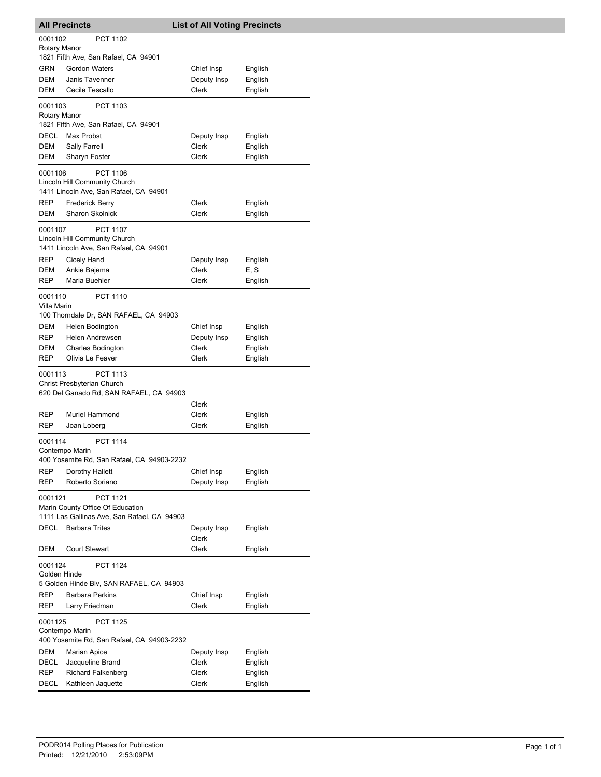|                         | <b>All Precincts</b>                                                                               | <b>List of All Voting Precincts</b> |                    |
|-------------------------|----------------------------------------------------------------------------------------------------|-------------------------------------|--------------------|
| 0001102<br>Rotary Manor | PCT 1102                                                                                           |                                     |                    |
| GRN                     | 1821 Fifth Ave, San Rafael, CA 94901<br><b>Gordon Waters</b>                                       | Chief Insp                          | English            |
| DEM                     | Janis Tavenner                                                                                     | Deputy Insp                         | English            |
| DEM                     | Cecile Tescallo                                                                                    | Clerk                               | English            |
| 0001103<br>Rotary Manor | PCT 1103                                                                                           |                                     |                    |
|                         | 1821 Fifth Ave, San Rafael, CA 94901                                                               |                                     |                    |
| DECL                    | Max Probst                                                                                         | Deputy Insp                         | English            |
| DEM<br>DEM              | Sally Farrell<br>Sharyn Foster                                                                     | Clerk<br>Clerk                      | English<br>English |
| 0001106                 | PCT 1106                                                                                           |                                     |                    |
|                         | Lincoln Hill Community Church<br>1411 Lincoln Ave, San Rafael, CA 94901                            |                                     |                    |
| REP                     | Frederick Berry                                                                                    | Clerk                               | English            |
| DEM                     | <b>Sharon Skolnick</b>                                                                             | Clerk                               | English            |
| 0001107                 | <b>PCT 1107</b>                                                                                    |                                     |                    |
|                         | Lincoln Hill Community Church<br>1411 Lincoln Ave, San Rafael, CA 94901                            |                                     |                    |
| REP                     | Cicely Hand                                                                                        | Deputy Insp                         | English            |
| DEM                     | Ankie Bajema                                                                                       | Clerk                               | E, S               |
| REP                     | Maria Buehler                                                                                      | Clerk                               | English            |
| 0001110<br>Villa Marin  | <b>PCT 1110</b>                                                                                    |                                     |                    |
|                         | 100 Thorndale Dr, SAN RAFAEL, CA 94903                                                             |                                     |                    |
| DEM                     | Helen Bodington                                                                                    | Chief Insp                          | English            |
| <b>REP</b><br>DEM       | Helen Andrewsen<br><b>Charles Bodington</b>                                                        | Deputy Insp<br>Clerk                | English<br>English |
| <b>REP</b>              | Olivia Le Feaver                                                                                   | Clerk                               | English            |
| 0001113                 | PCT 1113<br>Christ Presbyterian Church                                                             |                                     |                    |
|                         | 620 Del Ganado Rd, SAN RAFAEL, CA 94903                                                            | Clerk                               |                    |
| REP                     | Muriel Hammond                                                                                     | Clerk                               | English            |
| REP                     | Joan Loberg                                                                                        | Clerk                               | English            |
| 0001114                 | <b>PCT 1114</b><br>Contempo Marin                                                                  |                                     |                    |
| REP                     | 400 Yosemite Rd, San Rafael, CA 94903-2232<br>Dorothy Hallett                                      | Chief Insp                          | English            |
| REP                     | Roberto Soriano                                                                                    | Deputy Insp                         | English            |
| 0001121                 | <b>PCT 1121</b><br>Marin County Office Of Education<br>1111 Las Gallinas Ave, San Rafael, CA 94903 |                                     |                    |
| DECL                    | <b>Barbara Trites</b>                                                                              | Deputy Insp<br>Clerk                | English            |
| DEM                     | <b>Court Stewart</b>                                                                               | Clerk                               | English            |
| 0001124<br>Golden Hinde | <b>PCT 1124</b>                                                                                    |                                     |                    |
|                         | 5 Golden Hinde Blv, SAN RAFAEL, CA 94903                                                           |                                     |                    |
| REP<br>REP              | <b>Barbara Perkins</b><br>Larry Friedman                                                           | Chief Insp<br>Clerk                 | English<br>English |
| 0001125                 | PCT 1125                                                                                           |                                     |                    |
|                         | Contempo Marin<br>400 Yosemite Rd, San Rafael, CA 94903-2232                                       |                                     |                    |
| DEM                     | <b>Marian Apice</b>                                                                                | Deputy Insp                         | English            |
| DECL                    | Jacqueline Brand                                                                                   | Clerk                               | English            |
| REP                     | <b>Richard Falkenberg</b>                                                                          | Clerk                               | English            |
| DECL                    | Kathleen Jaquette                                                                                  | Clerk                               | English            |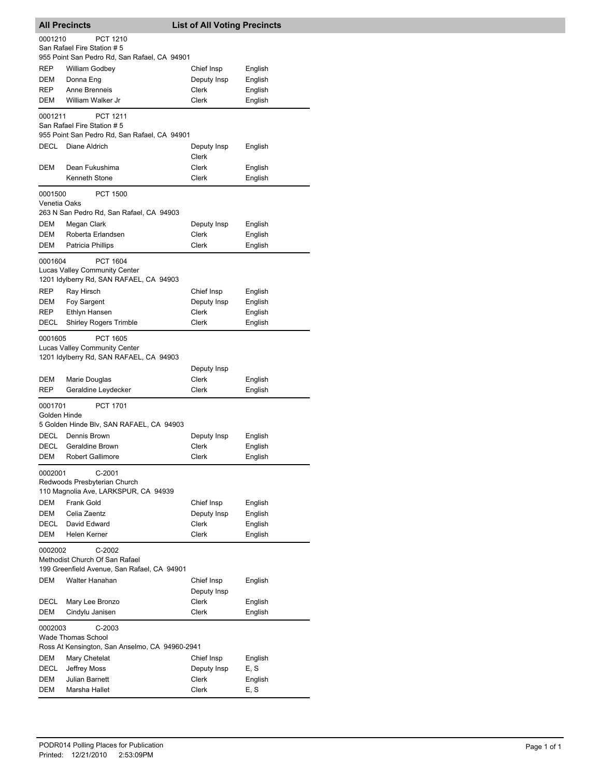|                         | <b>All Precincts</b><br><b>List of All Voting Precincts</b>                                        |                           |                    |
|-------------------------|----------------------------------------------------------------------------------------------------|---------------------------|--------------------|
| 0001210                 | <b>PCT 1210</b><br>San Rafael Fire Station # 5                                                     |                           |                    |
|                         | 955 Point San Pedro Rd, San Rafael, CA 94901                                                       |                           |                    |
| REP                     | <b>William Godbey</b>                                                                              | Chief Insp                | English            |
| DEM<br>REP              | Donna Eng<br>Anne Brenneis                                                                         | Deputy Insp<br>Clerk      | English            |
| DEM                     | William Walker Jr                                                                                  | <b>Clerk</b>              | English            |
|                         |                                                                                                    |                           | English            |
| 0001211                 | <b>PCT 1211</b><br>San Rafael Fire Station # 5                                                     |                           |                    |
|                         | 955 Point San Pedro Rd, San Rafael, CA 94901                                                       |                           |                    |
| DECL                    | Diane Aldrich                                                                                      | Deputy Insp<br>Clerk      | English            |
| DEM                     | Dean Fukushima                                                                                     | Clerk                     | English            |
|                         | Kenneth Stone                                                                                      | Clerk                     | English            |
| 0001500<br>Venetia Oaks | <b>PCT 1500</b><br>263 N San Pedro Rd, San Rafael, CA 94903                                        |                           |                    |
| DEM                     | Megan Clark                                                                                        | Deputy Insp               | English            |
| DEM                     | Roberta Erlandsen                                                                                  | Clerk                     | English            |
| DEM                     | Patricia Phillips                                                                                  | Clerk                     | English            |
| 0001604                 | <b>PCT 1604</b><br><b>Lucas Valley Community Center</b><br>1201 Idylberry Rd, SAN RAFAEL, CA 94903 |                           |                    |
| REP                     | Ray Hirsch                                                                                         | Chief Insp                | English            |
| DEM                     | Foy Sargent                                                                                        | Deputy Insp               | English            |
| REP                     | Ethlyn Hansen                                                                                      | Clerk                     | English            |
| <b>DECL</b>             | <b>Shirley Rogers Trimble</b>                                                                      | Clerk                     | English            |
| 0001605                 | <b>PCT 1605</b><br>Lucas Valley Community Center                                                   |                           |                    |
|                         | 1201 Idylberry Rd, SAN RAFAEL, CA 94903                                                            |                           |                    |
|                         |                                                                                                    | Deputy Insp               |                    |
| DEM                     | Marie Douglas                                                                                      | Clerk                     | English            |
| REP                     | Geraldine Leydecker                                                                                | Clerk                     | English            |
| 0001701<br>Golden Hinde | <b>PCT 1701</b><br>5 Golden Hinde Blv, SAN RAFAEL, CA 94903                                        |                           |                    |
| DECL                    | Dennis Brown                                                                                       | Deputy Insp               | English            |
| DECL                    | Geraldine Brown                                                                                    | Clerk                     | English            |
| DEM                     | Robert Gallimore                                                                                   | Clerk                     | English            |
| 0002001                 | $C-2001$<br>Redwoods Presbyterian Church<br>110 Magnolia Ave, LARKSPUR, CA 94939                   |                           |                    |
| DEM                     | Frank Gold                                                                                         |                           |                    |
| DEM                     | Celia Zaentz                                                                                       | Chief Insp                | English            |
| DECL                    | David Edward                                                                                       | Deputy Insp<br>Clerk      | English<br>English |
| DEM                     | Helen Kerner                                                                                       | Clerk                     |                    |
| 0002002                 | $C-2002$                                                                                           |                           | English            |
|                         | Methodist Church Of San Rafael<br>199 Greenfield Avenue, San Rafael, CA 94901                      |                           |                    |
| DEM                     | Walter Hanahan                                                                                     | Chief Insp<br>Deputy Insp | English            |
| DECL                    | Mary Lee Bronzo                                                                                    | Clerk                     | English            |
| DEM                     | Cindylu Janisen                                                                                    | Clerk                     | English            |
| 0002003                 | $C-2003$<br><b>Wade Thomas School</b>                                                              |                           |                    |
|                         | Ross At Kensington, San Anselmo, CA 94960-2941                                                     |                           |                    |
| DEM                     | Mary Chetelat                                                                                      | Chief Insp                | English            |
| DECL                    | Jeffrey Moss                                                                                       | Deputy Insp               | E, S               |
| DEM                     | Julian Barnett                                                                                     | Clerk                     | English            |
| DEM                     | Marsha Hallet                                                                                      | Clerk                     | E, S               |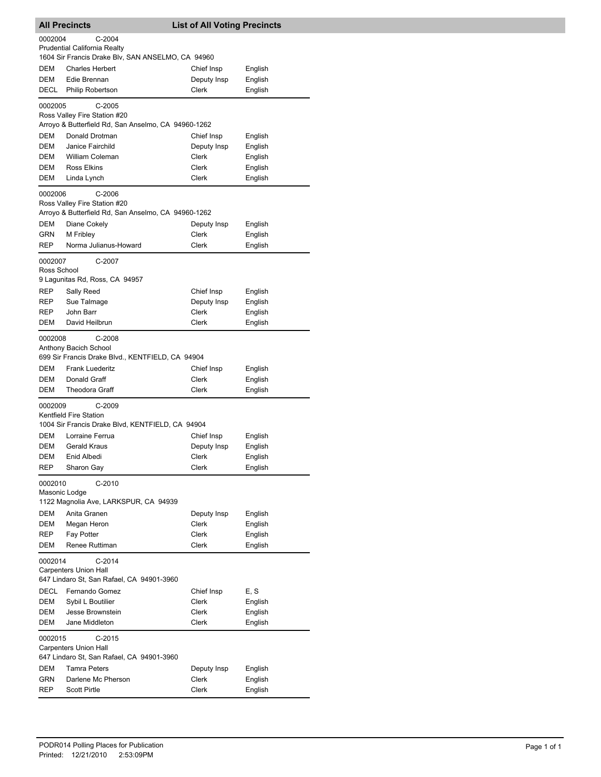|                        | <b>All Precincts</b><br><b>List of All Voting Precincts</b>                                                                     |                      |                    |
|------------------------|---------------------------------------------------------------------------------------------------------------------------------|----------------------|--------------------|
| 0002004                | $C-2004$<br><b>Prudential California Realty</b><br>1604 Sir Francis Drake Blv, SAN ANSELMO, CA 94960                            |                      |                    |
| <b>DEM</b>             | <b>Charles Herbert</b>                                                                                                          | Chief Insp           | English            |
| <b>DEM</b>             | Edie Brennan                                                                                                                    | Deputy Insp          | English            |
| DECL                   | Philip Robertson                                                                                                                | Clerk                | English            |
| 0002005                | $C-2005$<br>Ross Valley Fire Station #20                                                                                        |                      |                    |
|                        | Arroyo & Butterfield Rd, San Anselmo, CA 94960-1262                                                                             |                      |                    |
| DEM                    | Donald Drotman                                                                                                                  | Chief Insp           | English            |
| DEM<br>DEM             | Janice Fairchild<br><b>William Coleman</b>                                                                                      | Deputy Insp<br>Clerk | English            |
| DEM                    | Ross Elkins                                                                                                                     | Clerk                | English<br>English |
| DEM                    | Linda Lynch                                                                                                                     | Clerk                | English            |
| 0002006                | $C-2006$<br>Ross Valley Fire Station #20<br>Arroyo & Butterfield Rd, San Anselmo, CA 94960-1262                                 |                      |                    |
| DEM                    | Diane Cokely                                                                                                                    | Deputy Insp          | English            |
| GRN                    | M Fribley                                                                                                                       | Clerk                | English            |
| <b>REP</b>             | Norma Julianus-Howard                                                                                                           | Clerk                | English            |
| 0002007<br>Ross School | C-2007                                                                                                                          |                      |                    |
| <b>REP</b>             | 9 Lagunitas Rd, Ross, CA 94957<br>Sally Reed                                                                                    | Chief Insp           | English            |
| REP                    | Sue Talmage                                                                                                                     | Deputy Insp          | English            |
| REP                    | John Barr                                                                                                                       | Clerk                | English            |
| DEM                    | David Heilbrun                                                                                                                  | Clerk                | English            |
| 0002008<br>DEM<br>DEM  | $C-2008$<br>Anthony Bacich School<br>699 Sir Francis Drake Blvd., KENTFIELD, CA 94904<br><b>Frank Luederitz</b><br>Donald Graff | Chief Insp<br>Clerk  | English<br>English |
| DEM                    | <b>Theodora Graff</b>                                                                                                           | Clerk                | English            |
| 0002009                | $C-2009$<br>Kentfield Fire Station<br>1004 Sir Francis Drake Blvd, KENTFIELD, CA 94904                                          |                      |                    |
| <b>DEM</b>             | Lorraine Ferrua                                                                                                                 | Chief Insp           | English            |
| DEM                    | <b>Gerald Kraus</b>                                                                                                             | Deputy Insp          | English            |
| DEM                    | Enid Albedi                                                                                                                     | Clerk                | English            |
| REP                    | Sharon Gay                                                                                                                      | Clerk                | English            |
| 0002010                | $C-2010$<br>Masonic Lodge<br>1122 Magnolia Ave, LARKSPUR, CA 94939                                                              |                      |                    |
| DEM                    | Anita Granen                                                                                                                    | Deputy Insp          | English            |
| DEM                    | Megan Heron                                                                                                                     | Clerk                | English            |
| REP                    | Fay Potter                                                                                                                      | Clerk                | English            |
| DEM                    | Renee Ruttiman                                                                                                                  | Clerk                | English            |
| 0002014                | C-2014<br><b>Carpenters Union Hall</b><br>647 Lindaro St, San Rafael, CA 94901-3960                                             |                      |                    |
| <b>DECL</b>            | Fernando Gomez                                                                                                                  | Chief Insp           | E, S               |
| <b>DEM</b>             | Sybil L Boutilier                                                                                                               | Clerk                | English            |
| DEM                    | Jesse Brownstein                                                                                                                | Clerk                | English            |
| DEM<br>0002015         | Jane Middleton<br>$C-2015$<br><b>Carpenters Union Hall</b>                                                                      | Clerk                | English            |
|                        | 647 Lindaro St, San Rafael, CA 94901-3960                                                                                       |                      |                    |
| DEM<br>GRN             | <b>Tamra Peters</b><br>Darlene Mc Pherson                                                                                       | Deputy Insp<br>Clerk | English<br>English |
| REP                    | <b>Scott Pirtle</b>                                                                                                             | Clerk                | English            |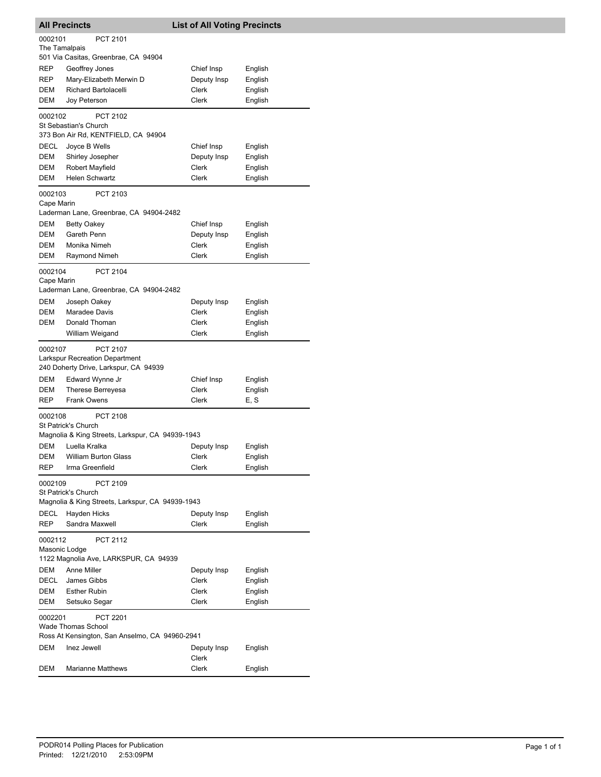| <b>All Precincts</b> |                                                  | <b>List of All Voting Precincts</b> |                    |  |  |  |
|----------------------|--------------------------------------------------|-------------------------------------|--------------------|--|--|--|
| 0002101              | PCT 2101                                         |                                     |                    |  |  |  |
| The Tamalpais        |                                                  |                                     |                    |  |  |  |
|                      | 501 Via Casitas, Greenbrae, CA 94904             |                                     |                    |  |  |  |
| REP<br>REP           | Geoffrey Jones<br>Mary-Elizabeth Merwin D        | Chief Insp<br>Deputy Insp           | English<br>English |  |  |  |
| DEM                  | <b>Richard Bartolacelli</b>                      | Clerk                               | English            |  |  |  |
| DEM                  | Joy Peterson                                     | Clerk                               | English            |  |  |  |
| 0002102              | PCT 2102                                         |                                     |                    |  |  |  |
|                      | St Sebastian's Church                            |                                     |                    |  |  |  |
|                      | 373 Bon Air Rd, KENTFIELD, CA 94904              |                                     |                    |  |  |  |
| DECL                 | Joyce B Wells                                    | Chief Insp                          | English            |  |  |  |
| DEM                  | Shirley Josepher                                 | Deputy Insp                         | English            |  |  |  |
| DEM                  | Robert Mayfield                                  | Clerk                               | English            |  |  |  |
| DEM                  | <b>Helen Schwartz</b>                            | Clerk                               | English            |  |  |  |
| 0002103              | PCT 2103                                         |                                     |                    |  |  |  |
| Cape Marin           | Laderman Lane, Greenbrae, CA 94904-2482          |                                     |                    |  |  |  |
| <b>DEM</b>           | <b>Betty Oakey</b>                               | Chief Insp                          | English            |  |  |  |
| <b>DEM</b>           | Gareth Penn                                      | Deputy Insp                         | English            |  |  |  |
| DEM                  | Monika Nimeh                                     | Clerk                               | English            |  |  |  |
| DEM                  | Raymond Nimeh                                    | Clerk                               | English            |  |  |  |
| 0002104              | PCT 2104                                         |                                     |                    |  |  |  |
| Cape Marin           |                                                  |                                     |                    |  |  |  |
|                      | Laderman Lane, Greenbrae, CA 94904-2482          |                                     |                    |  |  |  |
| DEM                  | Joseph Oakey                                     | Deputy Insp                         | English            |  |  |  |
| DEM                  | Maradee Davis                                    | Clerk                               | English            |  |  |  |
| <b>DEM</b>           | Donald Thoman                                    | Clerk                               | English            |  |  |  |
|                      | William Weigand                                  | Clerk                               | English            |  |  |  |
| 0002107              | <b>PCT 2107</b>                                  |                                     |                    |  |  |  |
|                      | <b>Larkspur Recreation Department</b>            |                                     |                    |  |  |  |
| <b>DEM</b>           | 240 Doherty Drive, Larkspur, CA 94939            |                                     |                    |  |  |  |
| DEM                  | Edward Wynne Jr<br>Therese Berreyesa             | Chief Insp<br>Clerk                 | English<br>English |  |  |  |
| REP                  | <b>Frank Owens</b>                               | Clerk                               | E, S               |  |  |  |
|                      |                                                  |                                     |                    |  |  |  |
| 0002108              | <b>PCT 2108</b><br>St Patrick's Church           |                                     |                    |  |  |  |
|                      | Magnolia & King Streets, Larkspur, CA 94939-1943 |                                     |                    |  |  |  |
| DEM                  | Luella Kralka                                    | Deputy Insp                         | English            |  |  |  |
| DEM                  | <b>William Burton Glass</b>                      | Clerk                               | English            |  |  |  |
| REP                  | Irma Greenfield                                  | Clerk                               | English            |  |  |  |
| 0002109              | PCT 2109                                         |                                     |                    |  |  |  |
|                      | St Patrick's Church                              |                                     |                    |  |  |  |
|                      | Magnolia & King Streets, Larkspur, CA 94939-1943 |                                     |                    |  |  |  |
| DECL                 | Hayden Hicks                                     | Deputy Insp<br>Clerk                | English            |  |  |  |
| <b>REP</b>           | Sandra Maxwell                                   |                                     | English            |  |  |  |
| 0002112              | <b>PCT 2112</b>                                  |                                     |                    |  |  |  |
| Masonic Lodge        | 1122 Magnolia Ave, LARKSPUR, CA 94939            |                                     |                    |  |  |  |
| DEM                  | Anne Miller                                      | Deputy Insp                         | English            |  |  |  |
| DECL                 | James Gibbs                                      | Clerk                               | English            |  |  |  |
| DEM                  | <b>Esther Rubin</b>                              | Clerk                               | English            |  |  |  |
| DEM                  | Setsuko Segar                                    | Clerk                               | English            |  |  |  |
| 0002201              | PCT 2201                                         |                                     |                    |  |  |  |
|                      | <b>Wade Thomas School</b>                        |                                     |                    |  |  |  |
|                      | Ross At Kensington, San Anselmo, CA 94960-2941   |                                     |                    |  |  |  |
| DEM                  | Inez Jewell                                      | Deputy Insp                         | English            |  |  |  |
|                      |                                                  | Clerk                               |                    |  |  |  |
| DEM                  | <b>Marianne Matthews</b>                         | Clerk                               | English            |  |  |  |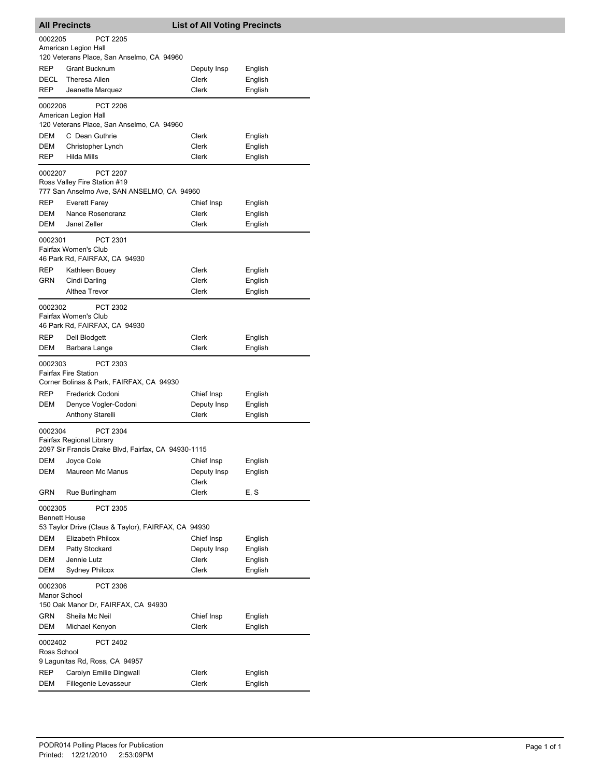|                                 | <b>All Precincts</b>                                                                                    | <b>List of All Voting Precincts</b> |                    |
|---------------------------------|---------------------------------------------------------------------------------------------------------|-------------------------------------|--------------------|
| 0002205                         | <b>PCT 2205</b><br>American Legion Hall<br>120 Veterans Place, San Anselmo, CA 94960                    |                                     |                    |
| REP                             |                                                                                                         |                                     |                    |
| DECL                            | Grant Bucknum<br><b>Theresa Allen</b>                                                                   | Deputy Insp<br>Clerk                | English<br>English |
| REP                             | Jeanette Marquez                                                                                        | Clerk                               | English            |
|                                 |                                                                                                         |                                     |                    |
| 0002206                         | <b>PCT 2206</b><br>American Legion Hall                                                                 |                                     |                    |
|                                 | 120 Veterans Place, San Anselmo, CA 94960                                                               |                                     |                    |
| DEM                             | C Dean Guthrie                                                                                          | Clerk                               | English            |
| DEM<br>REP                      | Christopher Lynch<br><b>Hilda Mills</b>                                                                 | Clerk<br>Clerk                      | English            |
|                                 |                                                                                                         |                                     | English            |
| 0002207                         | <b>PCT 2207</b><br>Ross Valley Fire Station #19<br>777 San Anselmo Ave, SAN ANSELMO, CA 94960           |                                     |                    |
| REP                             | <b>Everett Farey</b>                                                                                    | Chief Insp                          | English            |
| DEM                             | Nance Rosencranz                                                                                        | Clerk                               | English            |
| DEM                             | Janet Zeller                                                                                            | Clerk                               | English            |
| 0002301                         | PCT 2301<br>Fairfax Women's Club<br>46 Park Rd, FAIRFAX, CA 94930                                       |                                     |                    |
| REP                             | Kathleen Bouey                                                                                          | Clerk                               | English            |
| GRN                             | Cindi Darling                                                                                           | Clerk                               | English            |
|                                 | Althea Trevor                                                                                           | Clerk                               | English            |
| 0002302                         | PCT 2302<br>Fairfax Women's Club<br>46 Park Rd, FAIRFAX, CA 94930                                       |                                     |                    |
| REP                             | Dell Blodgett                                                                                           | Clerk                               | English            |
| DEM                             | Barbara Lange                                                                                           | Clerk                               | English            |
| 0002303<br><b>REP</b>           | PCT 2303<br><b>Fairfax Fire Station</b><br>Corner Bolinas & Park, FAIRFAX, CA 94930<br>Frederick Codoni | Chief Insp                          | English            |
| DEM                             | Denyce Vogler-Codoni                                                                                    | Deputy Insp                         | English            |
|                                 | Anthony Starelli                                                                                        | Clerk                               | English            |
|                                 |                                                                                                         |                                     |                    |
| 0002304                         | <b>PCT 2304</b><br>Fairfax Regional Library<br>2097 Sir Francis Drake Blvd, Fairfax, CA 94930-1115      |                                     |                    |
|                                 | DEM Joyce Cole                                                                                          | Chief Insp                          | English            |
| DEM                             | Maureen Mc Manus                                                                                        | Deputy Insp<br>Clerk                | English            |
| GRN                             | Rue Burlingham                                                                                          | Clerk                               | E, S               |
| 0002305<br><b>Bennett House</b> | PCT 2305                                                                                                |                                     |                    |
|                                 | 53 Taylor Drive (Claus & Taylor), FAIRFAX, CA 94930                                                     |                                     |                    |
| DEM                             | Elizabeth Philcox                                                                                       | Chief Insp                          | English            |
| DEM                             | Patty Stockard                                                                                          | Deputy Insp                         | English            |
| DEM                             | Jennie Lutz                                                                                             | Clerk                               | English            |
| DEM                             | Sydney Philcox                                                                                          | Clerk                               | English            |
| 0002306<br>Manor School         | PCT 2306<br>150 Oak Manor Dr, FAIRFAX, CA 94930                                                         |                                     |                    |
| GRN                             | Sheila Mc Neil                                                                                          | Chief Insp                          | English            |
| DEM                             | Michael Kenyon                                                                                          | Clerk                               | English            |
| 0002402<br>Ross School          | PCT 2402<br>9 Lagunitas Rd, Ross, CA 94957                                                              |                                     |                    |
| REP                             | Carolyn Emilie Dingwall                                                                                 | Clerk                               | English            |
| DEM                             | Fillegenie Levasseur                                                                                    | Clerk                               | English            |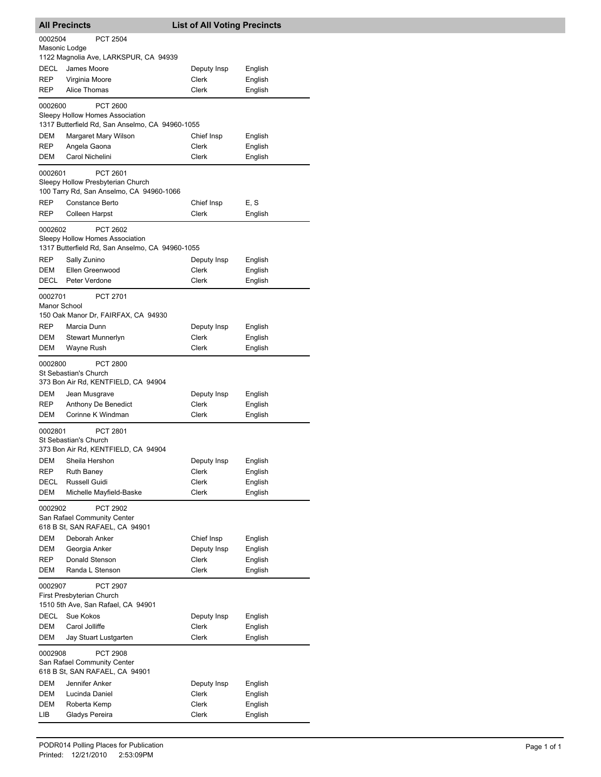|                          | <b>All Precincts</b>                                                                                  | <b>List of All Voting Precincts</b> |                    |
|--------------------------|-------------------------------------------------------------------------------------------------------|-------------------------------------|--------------------|
| 0002504<br>Masonic Lodge | <b>PCT 2504</b>                                                                                       |                                     |                    |
|                          | 1122 Magnolia Ave, LARKSPUR, CA 94939                                                                 |                                     |                    |
| DECL                     | James Moore                                                                                           | Deputy Insp                         | English            |
| REP                      | Virginia Moore                                                                                        | Clerk                               | English            |
| REP                      | Alice Thomas                                                                                          | Clerk                               | English            |
| 0002600                  | PCT 2600<br>Sleepy Hollow Homes Association<br>1317 Butterfield Rd, San Anselmo, CA 94960-1055        |                                     |                    |
| DEM                      | Margaret Mary Wilson                                                                                  | Chief Insp                          | English            |
| REP                      | Angela Gaona                                                                                          | <b>Clerk</b>                        | English            |
| <b>DEM</b>               | Carol Nichelini                                                                                       | Clerk                               | English            |
| 0002601                  | PCT 2601<br>Sleepy Hollow Presbyterian Church<br>100 Tarry Rd, San Anselmo, CA 94960-1066             |                                     |                    |
| REP                      | Constance Berto                                                                                       | Chief Insp                          | E, S               |
| REP                      | Colleen Harpst                                                                                        | Clerk                               | English            |
| 0002602                  | <b>PCT 2602</b><br>Sleepy Hollow Homes Association<br>1317 Butterfield Rd, San Anselmo, CA 94960-1055 |                                     |                    |
| REP                      | Sally Zunino                                                                                          | Deputy Insp                         | English            |
| <b>DEM</b>               | Ellen Greenwood                                                                                       | Clerk                               | English            |
| DECL                     | Peter Verdone                                                                                         | Clerk                               | English            |
| 0002701<br>Manor School  | PCT 2701<br>150 Oak Manor Dr, FAIRFAX, CA 94930                                                       |                                     |                    |
| REP                      | Marcia Dunn                                                                                           | Deputy Insp                         | English            |
| DEM                      | Stewart Munnerlyn                                                                                     | Clerk                               | English            |
| DEM                      | Wayne Rush                                                                                            | Clerk                               | English            |
| 0002800                  | <b>PCT 2800</b><br>St Sebastian's Church<br>373 Bon Air Rd, KENTFIELD, CA 94904                       |                                     |                    |
| DEM                      | Jean Musgrave                                                                                         | Deputy Insp                         | English            |
| REP                      | Anthony De Benedict                                                                                   | Clerk                               | English            |
| DEM                      | Corinne K Windman                                                                                     | Clerk                               | English            |
| 0002801                  | PCT 2801<br>St Sebastian's Church<br>373 Bon Air Rd, KENTFIELD, CA 94904                              |                                     |                    |
| DEM                      | Sheila Hershon                                                                                        | Deputy Insp                         | English            |
| REP                      | <b>Ruth Baney</b>                                                                                     | Clerk                               | English            |
| DECL<br>DEM              | Russell Guidi                                                                                         | Clerk<br><b>Clerk</b>               | English<br>English |
| 0002902                  | Michelle Mayfield-Baske<br>PCT 2902                                                                   |                                     |                    |
|                          | San Rafael Community Center<br>618 B St, SAN RAFAEL, CA 94901<br>Deborah Anker                        |                                     |                    |
| DEM<br>DEM               | Georgia Anker                                                                                         | Chief Insp<br>Deputy Insp           | English<br>English |
| REP                      | Donald Stenson                                                                                        | Clerk                               | English            |
| DEM                      | Randa L Stenson                                                                                       | Clerk                               | English            |
| 0002907                  | PCT 2907<br>First Presbyterian Church<br>1510 5th Ave, San Rafael, CA 94901                           |                                     |                    |
| DECL                     | Sue Kokos                                                                                             | Deputy Insp                         | English            |
| DEM                      | Carol Jolliffe                                                                                        | Clerk                               | English            |
| DEM                      | Jay Stuart Lustgarten                                                                                 | Clerk                               | English            |
| 0002908                  | PCT 2908<br>San Rafael Community Center                                                               |                                     |                    |
|                          | 618 B St, SAN RAFAEL, CA 94901                                                                        |                                     |                    |
| DEM                      | Jennifer Anker                                                                                        | Deputy Insp                         | English            |
| DEM                      | Lucinda Daniel                                                                                        | Clerk                               | English            |
| DEM                      | Roberta Kemp                                                                                          | Clerk                               | English            |
| LIB                      | Gladys Pereira                                                                                        | Clerk                               | English            |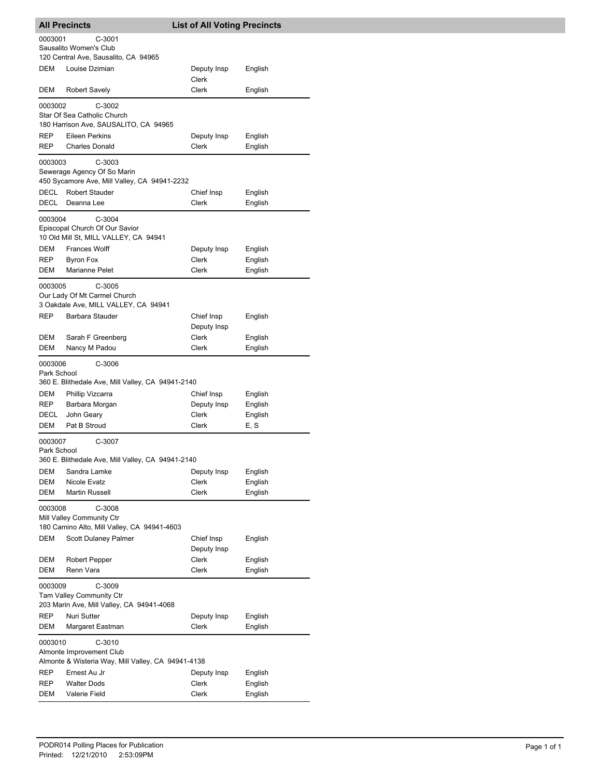| <b>All Precincts</b>     |                                                                             | <b>List of All Voting Precincts</b> |                    |
|--------------------------|-----------------------------------------------------------------------------|-------------------------------------|--------------------|
| 0003001                  | C-3001                                                                      |                                     |                    |
|                          | Sausalito Women's Club                                                      |                                     |                    |
|                          | 120 Central Ave, Sausalito, CA 94965                                        |                                     |                    |
| DEM                      | Louise Dzimian                                                              | Deputy Insp                         | English            |
|                          |                                                                             | Clerk                               |                    |
| DEM                      | Robert Savely                                                               | Clerk                               | English            |
| 0003002                  | C-3002                                                                      |                                     |                    |
|                          | Star Of Sea Catholic Church                                                 |                                     |                    |
|                          | 180 Harrison Ave, SAUSALITO, CA 94965<br><b>Eileen Perkins</b>              |                                     |                    |
| <b>REP</b><br><b>REP</b> | <b>Charles Donald</b>                                                       | Deputy Insp<br>Clerk                | English<br>English |
|                          |                                                                             |                                     |                    |
| 0003003                  | C-3003                                                                      |                                     |                    |
|                          | Sewerage Agency Of So Marin<br>450 Sycamore Ave, Mill Valley, CA 94941-2232 |                                     |                    |
| DECL                     | <b>Robert Stauder</b>                                                       | Chief Insp                          | English            |
| DECL                     | Deanna Lee                                                                  | Clerk                               | English            |
|                          |                                                                             |                                     |                    |
| 0003004                  | $C-3004$                                                                    |                                     |                    |
|                          | Episcopal Church Of Our Savior<br>10 Old Mill St, MILL VALLEY, CA 94941     |                                     |                    |
| DEM                      | <b>Frances Wolff</b>                                                        | Deputy Insp                         | English            |
| <b>REP</b>               | <b>Byron Fox</b>                                                            | Clerk                               | English            |
| DEM                      | Marianne Pelet                                                              | Clerk                               | English            |
|                          |                                                                             |                                     |                    |
| 0003005                  | $C-3005$                                                                    |                                     |                    |
|                          | Our Lady Of Mt Carmel Church<br>3 Oakdale Ave, MILL VALLEY, CA 94941        |                                     |                    |
| REP                      | Barbara Stauder                                                             | Chief Insp                          | English            |
|                          |                                                                             | Deputy Insp                         |                    |
| DEM                      | Sarah F Greenberg                                                           | Clerk                               | English            |
| DEM                      | Nancy M Padou                                                               | Clerk                               | English            |
| 0003006                  | $C-3006$                                                                    |                                     |                    |
| Park School              |                                                                             |                                     |                    |
|                          | 360 E. Blithedale Ave, Mill Valley, CA 94941-2140                           |                                     |                    |
| DEM                      | Phillip Vizcarra                                                            | Chief Insp                          | English            |
| <b>REP</b>               | Barbara Morgan                                                              | Deputy Insp                         | English            |
| DECL                     | John Geary                                                                  | Clerk                               | English            |
| DEM                      | Pat B Stroud                                                                | Clerk                               | E, S               |
| 0003007                  | C-3007                                                                      |                                     |                    |
| Park School              |                                                                             |                                     |                    |
|                          | 360 E. Blithedale Ave, Mill Valley, CA 94941-2140                           |                                     |                    |
| DEM                      | Sandra Lamke                                                                | Deputy Insp                         | English            |
| DEM                      | Nicole Evatz                                                                | Clerk                               | English            |
| <b>DEM</b>               | Martin Russell                                                              | Clerk                               | English            |
| 0003008                  | C-3008                                                                      |                                     |                    |
|                          | Mill Valley Community Ctr                                                   |                                     |                    |
|                          | 180 Camino Alto, Mill Valley, CA 94941-4603                                 |                                     |                    |
| DEM                      | Scott Dulaney Palmer                                                        | Chief Insp                          | English            |
|                          |                                                                             | Deputy Insp                         |                    |
| DEM                      | Robert Pepper                                                               | Clerk                               | English            |
| DEM                      | Renn Vara                                                                   | Clerk                               | English            |
| 0003009                  | C-3009                                                                      |                                     |                    |
|                          | Tam Valley Community Ctr                                                    |                                     |                    |
|                          | 203 Marin Ave, Mill Valley, CA 94941-4068                                   |                                     |                    |
| REP                      | Nuri Sutter                                                                 | Deputy Insp                         | English            |
| DEM                      | Margaret Eastman                                                            | Clerk                               | English            |
|                          |                                                                             |                                     |                    |
| 0003010                  | $C-3010$<br>Almonte Improvement Club                                        |                                     |                    |
|                          | Almonte & Wisteria Way, Mill Valley, CA 94941-4138                          |                                     |                    |
| REP                      | Ernest Au Jr                                                                | Deputy Insp                         | English            |
| REP                      | <b>Walter Dods</b>                                                          | Clerk                               | English            |
| DEM                      | Valerie Field                                                               | Clerk                               | English            |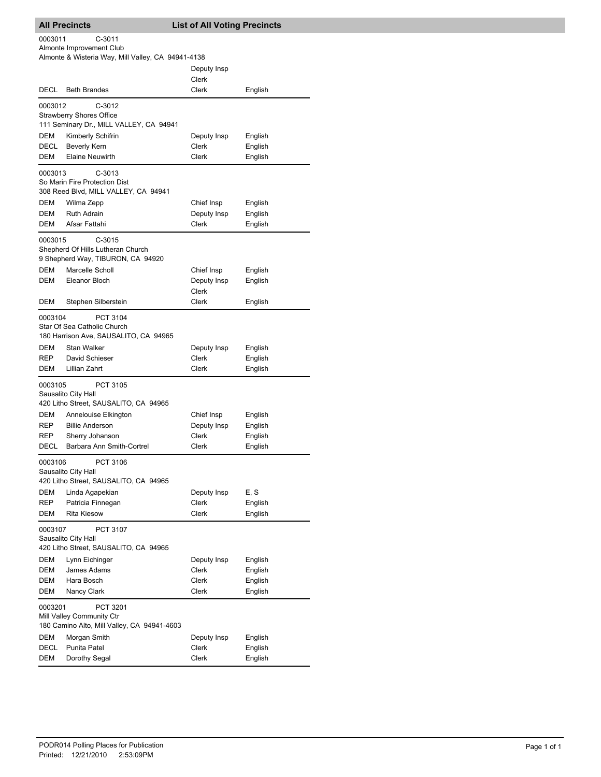## **All Precincts List of All Voting Precincts** Almonte & Wisteria Way, Mill Valley, CA 94941-4138 Almonte Improvement Club 0003011 C-3011 Deputy Insp Clerk DECL Beth Brandes Clerk Clerk English 111 Seminary Dr., MILL VALLEY, CA 94941 Strawberry Shores Office 0003012 C-3012 DEM Kimberly Schifrin **Deputy Insp** English DECL Beverly Kern Clerk Clerk English DEM Elaine Neuwirth **Clerk** Clerk English 308 Reed Blvd, MILL VALLEY, CA 94941 So Marin Fire Protection Dist 0003013 C-3013 DEM Wilma Zepp **Chief Insp** English DEM Ruth Adrain **Deputy Insp** English DEM Afsar Fattahi Clerk Clerk English 9 Shepherd Way, TIBURON, CA 94920 Shepherd Of Hills Lutheran Church 0003015 C-3015 DEM Marcelle Scholl Chief Insp English DEM Eleanor Bloch Deputy Insp English Clerk DEM Stephen Silberstein Clerk Clerk English 180 Harrison Ave, SAUSALITO, CA 94965 Star Of Sea Catholic Church 0003104 PCT 3104 DEM Stan Walker **Deputy Insp** English REP David Schieser Clerk Clerk English DEM Lillian Zahrt Clerk Clerk English 420 Litho Street, SAUSALITO, CA 94965 Sausalito City Hall 0003105 PCT 3105 DEM Annelouise Elkington Chief Insp English REP Billie Anderson **Deputy Insp** English REP Sherry Johanson Clerk Clerk English DECL Barbara Ann Smith-Cortrel Clerk English 420 Litho Street, SAUSALITO, CA 94965 Sausalito City Hall 0003106 PCT 3106 DEM Linda Agapekian Deputy Insp E, S REP Patricia Finnegan Clerk Clerk English DEM Rita Kiesow Clerk Clerk English 420 Litho Street, SAUSALITO, CA 94965 Sausalito City Hall 0003107 PCT 3107 DEM Lynn Eichinger Communist Communist Deputy Insp English DEM James Adams **Clerk** English DEM Hara Bosch Clerk Clerk English DEM Nancy Clark Clerk Clerk English 0003201 PCT 3201

|      | Mill Valley Community Ctr                   |             |         |  |
|------|---------------------------------------------|-------------|---------|--|
|      | 180 Camino Alto, Mill Valley, CA 94941-4603 |             |         |  |
| DEM  | Morgan Smith                                | Deputy Insp | English |  |
| DECL | Punita Patel                                | Clerk       | English |  |
| DEM  | Dorothy Segal                               | Clerk       | English |  |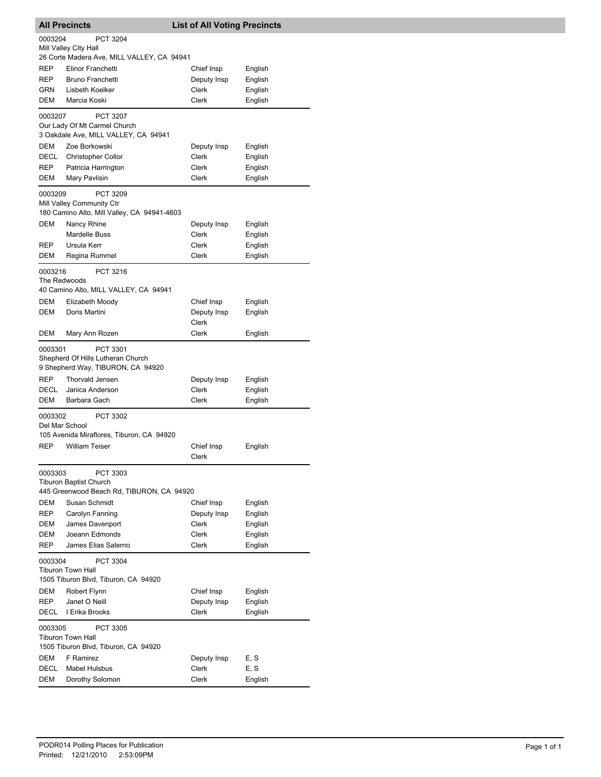|                           | <b>All Precincts</b>                        | <b>List of All Voting Precincts</b> |         |
|---------------------------|---------------------------------------------|-------------------------------------|---------|
| 0003204                   | <b>PCT 3204</b>                             |                                     |         |
|                           | Mill Valley City Hall                       |                                     |         |
|                           | 26 Corte Madera Ave, MILL VALLEY, CA 94941  |                                     |         |
| <b>REP</b>                | Elinor Franchetti                           | Chief Insp                          | English |
| <b>REP</b>                | <b>Bruno Franchetti</b>                     | Deputy Insp                         | English |
| <b>GRN</b>                | Lisbeth Koelker                             | Clerk                               | English |
| DEM                       | Marcia Koski                                | Clerk                               | English |
| 0003207                   | PCT 3207                                    |                                     |         |
|                           | Our Lady Of Mt Carmel Church                |                                     |         |
|                           | 3 Oakdale Ave, MILL VALLEY, CA 94941        |                                     |         |
| <b>DEM</b>                | Zoe Borkowski                               | Deputy Insp                         | English |
| DECL                      | <b>Christopher Collor</b>                   | Clerk                               | English |
| REP                       | Patricia Harrington                         | Clerk                               | English |
| DEM                       | Mary Pavlisin                               | Clerk                               | English |
| 0003209                   | PCT 3209                                    |                                     |         |
|                           | Mill Valley Community Ctr                   |                                     |         |
|                           | 180 Camino Alto, Mill Valley, CA 94941-4603 |                                     |         |
| <b>DEM</b>                | Nancy Rhine                                 | Deputy Insp                         | English |
|                           | <b>Mardelle Buss</b>                        | Clerk                               | English |
| <b>REP</b>                | Ursula Kerr                                 | Clerk                               | English |
| DEM                       | Regina Rummel                               | Clerk                               | English |
| 0003216                   | PCT 3216                                    |                                     |         |
| The Redwoods              |                                             |                                     |         |
|                           | 40 Camino Alto, MILL VALLEY, CA 94941       |                                     |         |
| DEM                       | Elizabeth Moody<br>Doris Martini            | Chief Insp                          | English |
| DEM                       |                                             | Deputy Insp<br>Clerk                | English |
| DEM                       | Mary Ann Rozen                              | Clerk                               | English |
| 0003301                   | PCT 3301                                    |                                     |         |
|                           | Shepherd Of Hills Lutheran Church           |                                     |         |
|                           | 9 Shepherd Way, TIBURON, CA 94920           |                                     |         |
| <b>REP</b>                | <b>Thorvald Jensen</b>                      | Deputy Insp                         | English |
| DECL                      | Janica Anderson                             | Clerk                               | English |
| DEM                       | Barbara Gach                                | Clerk                               | English |
|                           |                                             |                                     |         |
| 0003302<br>Del Mar School | PCT 3302                                    |                                     |         |
|                           | 105 Avenida Miraflores, Tiburon, CA 94920   |                                     |         |
| <b>REP</b>                | <b>William Teiser</b>                       | Chief Insp                          | English |
|                           |                                             | Clerk                               |         |
| 0003303                   | PCT 3303                                    |                                     |         |
|                           | <b>Tiburon Baptist Church</b>               |                                     |         |
|                           | 445 Greenwood Beach Rd, TIBURON, CA 94920   |                                     |         |
| DEM                       | Susan Schmidt                               | Chief Insp                          | English |
| REP                       | Carolyn Fanning                             | Deputy Insp                         | English |
| DEM                       | James Davenport                             | Clerk                               | English |
| DEM                       | Joeann Edmonds                              | Clerk                               | English |
| REP                       | James Elias Salerno                         | Clerk                               | English |
| 0003304                   | PCT 3304                                    |                                     |         |
|                           | <b>Tiburon Town Hall</b>                    |                                     |         |
|                           | 1505 Tiburon Blvd, Tiburon, CA 94920        |                                     |         |
| DEM                       | Robert Flynn                                | Chief Insp                          | English |
| REP                       | Janet O Neill                               | Deputy Insp                         | English |
| DECL                      | I Erika Brooks                              | Clerk                               | English |
| 0003305                   | <b>PCT 3305</b>                             |                                     |         |
|                           | <b>Tiburon Town Hall</b>                    |                                     |         |
|                           | 1505 Tiburon Blvd, Tiburon, CA 94920        |                                     |         |
| DEM                       | F Ramirez                                   | Deputy Insp                         | E, S    |
| DECL                      | <b>Mabel Hulsbus</b>                        | Clerk                               | E, S    |
| DEM                       | Dorothy Solomon                             | Clerk                               | English |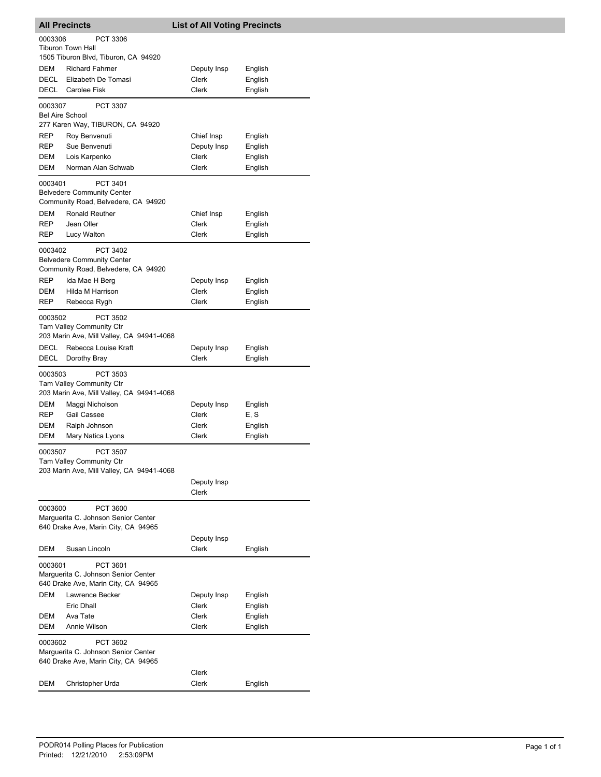| <b>All Precincts</b>              |                                                                                                               | <b>List of All Voting Precincts</b>         |                                          |
|-----------------------------------|---------------------------------------------------------------------------------------------------------------|---------------------------------------------|------------------------------------------|
| 0003306                           | PCT 3306<br><b>Tiburon Town Hall</b><br>1505 Tiburon Blvd, Tiburon, CA 94920                                  |                                             |                                          |
| DEM<br>DECL<br>DECL               | <b>Richard Fahrner</b><br>Elizabeth De Tomasi<br>Carolee Fisk                                                 | Deputy Insp<br>Clerk<br><b>Clerk</b>        | English<br>English<br>English            |
| 0003307<br><b>Bel Aire School</b> | <b>PCT 3307</b><br>277 Karen Way, TIBURON, CA 94920                                                           |                                             |                                          |
| REP<br>REP<br>DEM<br>DEM          | Roy Benvenuti<br>Sue Benvenuti<br>Lois Karpenko<br>Norman Alan Schwab                                         | Chief Insp<br>Deputy Insp<br>Clerk<br>Clerk | English<br>English<br>English<br>English |
| 0003401<br>DEM                    | PCT 3401<br><b>Belvedere Community Center</b><br>Community Road, Belvedere, CA 94920<br><b>Ronald Reuther</b> | Chief Insp                                  |                                          |
| <b>REP</b><br>REP                 | Jean Oller<br>Lucy Walton                                                                                     | Clerk<br>Clerk                              | English<br>English<br>English            |
| 0003402                           | PCT 3402<br><b>Belvedere Community Center</b><br>Community Road, Belvedere, CA 94920                          |                                             |                                          |
| <b>REP</b><br>DEM<br>REP          | Ida Mae H Berg<br>Hilda M Harrison<br>Rebecca Rygh                                                            | Deputy Insp<br><b>Clerk</b><br><b>Clerk</b> | English<br>English<br>English            |
| 0003502                           | PCT 3502<br><b>Tam Valley Community Ctr</b><br>203 Marin Ave, Mill Valley, CA 94941-4068                      |                                             |                                          |
| DECL<br>DECL                      | Rebecca Louise Kraft<br>Dorothy Bray                                                                          | Deputy Insp<br>Clerk                        | English<br>English                       |
| 0003503                           | PCT 3503<br>Tam Valley Community Ctr<br>203 Marin Ave, Mill Valley, CA 94941-4068                             |                                             |                                          |
| DEM<br><b>REP</b><br>DEM<br>DEM   | Maggi Nicholson<br><b>Gail Cassee</b><br>Ralph Johnson<br>Mary Natica Lyons                                   | Deputy Insp<br>Clerk<br>Clerk<br>Clerk      | English<br>E, S<br>English<br>English    |
| 0003507                           | PCT 3507<br>Tam Valley Community Ctr<br>203 Marin Ave, Mill Valley, CA 94941-4068                             |                                             |                                          |
|                                   |                                                                                                               | Deputy Insp<br>Clerk                        |                                          |
| 0003600                           | PCT 3600<br>Marguerita C. Johnson Senior Center<br>640 Drake Ave, Marin City, CA 94965                        |                                             |                                          |
| DEM                               | Susan Lincoln                                                                                                 | Deputy Insp<br><b>Clerk</b>                 | English                                  |
| 0003601                           | PCT 3601<br>Marquerita C. Johnson Senior Center<br>640 Drake Ave, Marin City, CA 94965                        |                                             |                                          |
| DEM<br>DEM<br>DEM                 | Lawrence Becker<br>Eric Dhall<br>Ava Tate<br>Annie Wilson                                                     | Deputy Insp<br>Clerk<br>Clerk<br>Clerk      | English<br>English<br>English<br>English |
| 0003602                           | PCT 3602<br>Marguerita C. Johnson Senior Center<br>640 Drake Ave, Marin City, CA 94965                        |                                             |                                          |
| DEM                               | Christopher Urda                                                                                              | Clerk<br>Clerk                              | English                                  |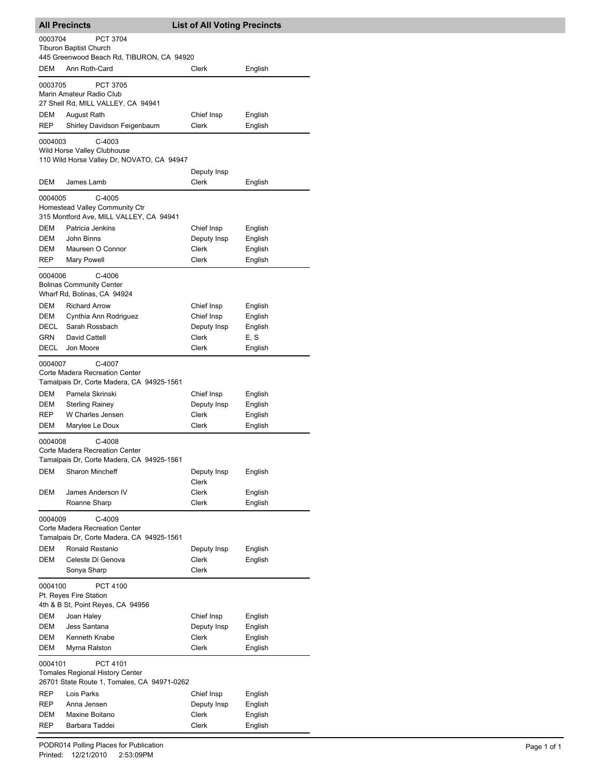|                                                                                                              | <b>All Precincts</b>                                                                         | <b>List of All Voting Precincts</b> |                    |  |  |
|--------------------------------------------------------------------------------------------------------------|----------------------------------------------------------------------------------------------|-------------------------------------|--------------------|--|--|
| 0003704<br><b>PCT 3704</b><br><b>Tiburon Baptist Church</b><br>445 Greenwood Beach Rd, TIBURON, CA 94920     |                                                                                              |                                     |                    |  |  |
| DEM                                                                                                          | Ann Roth-Card                                                                                | Clerk                               | English            |  |  |
|                                                                                                              | 0003705<br><b>PCT 3705</b><br>Marin Amateur Radio Club<br>27 Shell Rd, MILL VALLEY, CA 94941 |                                     |                    |  |  |
| DEM<br><b>REP</b>                                                                                            | August Rath<br>Shirley Davidson Feigenbaum                                                   | Chief Insp<br>Clerk                 | English<br>English |  |  |
| 0004003                                                                                                      | $C-4003$<br>Wild Horse Valley Clubhouse<br>110 Wild Horse Valley Dr, NOVATO, CA 94947        |                                     |                    |  |  |
| DEM                                                                                                          | James Lamb                                                                                   | Deputy Insp<br>Clerk                | English            |  |  |
| 0004005                                                                                                      | $C-4005$<br>Homestead Valley Community Ctr<br>315 Montford Ave, MILL VALLEY, CA 94941        |                                     |                    |  |  |
| DEM                                                                                                          | Patricia Jenkins                                                                             | Chief Insp                          | English            |  |  |
| DEM                                                                                                          | John Binns                                                                                   | Deputy Insp                         | English            |  |  |
| DEM                                                                                                          | Maureen O Connor                                                                             | Clerk                               | English            |  |  |
| REP                                                                                                          | Mary Powell                                                                                  | Clerk                               | English            |  |  |
| 0004006                                                                                                      | $C-4006$<br><b>Bolinas Community Center</b><br>Wharf Rd, Bolinas, CA 94924                   |                                     |                    |  |  |
| DEM                                                                                                          | <b>Richard Arrow</b>                                                                         | Chief Insp                          | English            |  |  |
| DEM                                                                                                          | Cynthia Ann Rodriguez                                                                        | Chief Insp                          | English            |  |  |
| <b>DECL</b>                                                                                                  | Sarah Rossbach                                                                               | Deputy Insp                         | English            |  |  |
| GRN                                                                                                          | David Cattell                                                                                | Clerk                               | E, S               |  |  |
| DECL                                                                                                         | Jon Moore                                                                                    | Clerk                               | English            |  |  |
| 0004007                                                                                                      | C-4007<br>Corte Madera Recreation Center                                                     |                                     |                    |  |  |
|                                                                                                              | Tamalpais Dr, Corte Madera, CA 94925-1561                                                    |                                     |                    |  |  |
| DEM                                                                                                          | Pamela Skrinski                                                                              | Chief Insp                          | English            |  |  |
| DEM                                                                                                          | <b>Sterling Rainey</b>                                                                       | Deputy Insp                         | English            |  |  |
| REP                                                                                                          | W Charles Jensen                                                                             | <b>Clerk</b>                        | English            |  |  |
| DEM                                                                                                          | Marylee Le Doux                                                                              | Clerk                               | English            |  |  |
| 0004008                                                                                                      | C-4008<br>Corte Madera Recreation Center<br>Tamalpais Dr. Corte Madera, CA 94925-1561        |                                     |                    |  |  |
| DEM                                                                                                          | Sharon Mincheff                                                                              | Deputy Insp<br><b>Clerk</b>         | English            |  |  |
| DEM                                                                                                          | James Anderson IV                                                                            | Clerk                               | English            |  |  |
|                                                                                                              | Roanne Sharp                                                                                 | Clerk                               | English            |  |  |
| 0004009<br>C-4009<br>Corte Madera Recreation Center<br>Tamalpais Dr, Corte Madera, CA 94925-1561             |                                                                                              |                                     |                    |  |  |
| <b>DEM</b>                                                                                                   | Ronald Restanio                                                                              | Deputy Insp                         | English            |  |  |
| <b>DEM</b>                                                                                                   | Celeste Di Genova<br>Sonya Sharp                                                             | Clerk<br><b>Clerk</b>               | English            |  |  |
| 0004100<br>PCT 4100                                                                                          |                                                                                              |                                     |                    |  |  |
| Pt. Reyes Fire Station<br>4th & B St, Point Reyes, CA 94956                                                  |                                                                                              |                                     |                    |  |  |
| DEM                                                                                                          | Joan Haley                                                                                   | Chief Insp                          | English            |  |  |
| DEM                                                                                                          | Jess Santana                                                                                 | Deputy Insp                         | English            |  |  |
| DEM                                                                                                          | Kenneth Knabe                                                                                | Clerk                               | English            |  |  |
| DEM                                                                                                          | Myrna Ralston                                                                                | Clerk                               | English            |  |  |
| PCT 4101<br>0004101<br><b>Tomales Regional History Center</b><br>26701 State Route 1, Tomales, CA 94971-0262 |                                                                                              |                                     |                    |  |  |
| REP                                                                                                          | Lois Parks                                                                                   | Chief Insp                          | English            |  |  |
| REP                                                                                                          | Anna Jensen                                                                                  | Deputy Insp                         | English            |  |  |
| DEM                                                                                                          | Maxine Boitano                                                                               | Clerk                               | English            |  |  |
| REP                                                                                                          | Barbara Taddei                                                                               | Clerk                               | English            |  |  |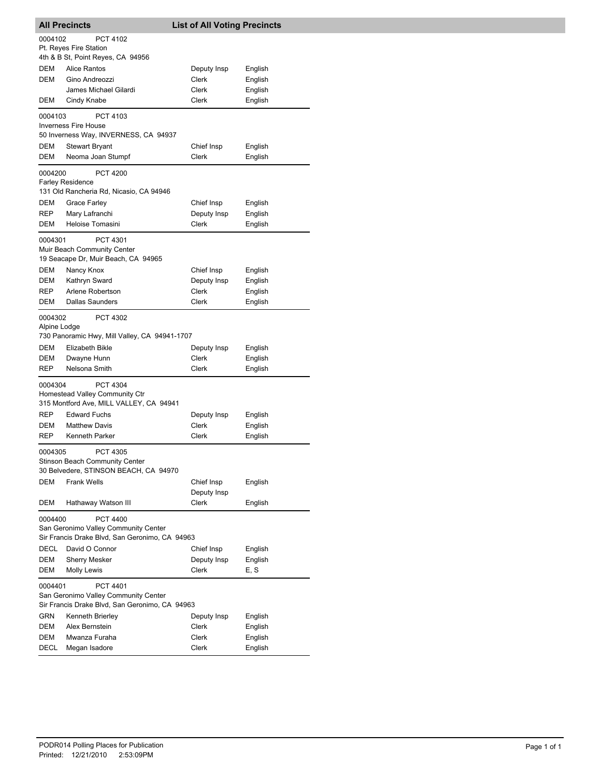| <b>All Precincts</b>                                                                                          |                                                                                       | <b>List of All Voting Precincts</b> |         |  |
|---------------------------------------------------------------------------------------------------------------|---------------------------------------------------------------------------------------|-------------------------------------|---------|--|
| 0004102                                                                                                       | PCT 4102<br>Pt. Reyes Fire Station<br>4th & B St, Point Reyes, CA 94956               |                                     |         |  |
| DEM                                                                                                           | <b>Alice Rantos</b>                                                                   | Deputy Insp                         | English |  |
| <b>DEM</b>                                                                                                    | Gino Andreozzi                                                                        | Clerk                               | English |  |
|                                                                                                               | James Michael Gilardi                                                                 | Clerk                               | English |  |
| DEM                                                                                                           | Cindy Knabe                                                                           | Clerk                               | English |  |
| 0004103                                                                                                       | PCT 4103                                                                              |                                     |         |  |
|                                                                                                               | <b>Inverness Fire House</b><br>50 Inverness Way, INVERNESS, CA 94937                  |                                     |         |  |
| DEM                                                                                                           | <b>Stewart Bryant</b>                                                                 | Chief Insp                          | English |  |
| DEM                                                                                                           | Neoma Joan Stumpf                                                                     | Clerk                               | English |  |
| 0004200                                                                                                       | <b>PCT 4200</b><br><b>Farley Residence</b><br>131 Old Rancheria Rd, Nicasio, CA 94946 |                                     |         |  |
| DEM                                                                                                           | <b>Grace Farley</b>                                                                   | Chief Insp                          | English |  |
| <b>REP</b>                                                                                                    | Mary Lafranchi                                                                        | Deputy Insp                         | English |  |
| DEM                                                                                                           | Heloise Tomasini                                                                      | Clerk                               | English |  |
| 0004301                                                                                                       | PCT 4301<br>Muir Beach Community Center<br>19 Seacape Dr, Muir Beach, CA 94965        |                                     |         |  |
| DEM                                                                                                           | Nancy Knox                                                                            | Chief Insp                          | English |  |
| DEM                                                                                                           | Kathryn Sward                                                                         | Deputy Insp                         | English |  |
| <b>REP</b>                                                                                                    | Arlene Robertson                                                                      | Clerk                               | English |  |
| DEM                                                                                                           | Dallas Saunders                                                                       | Clerk                               | English |  |
| 0004302<br>Alpine Lodge                                                                                       | PCT 4302<br>730 Panoramic Hwy, Mill Valley, CA 94941-1707                             |                                     |         |  |
| DEM                                                                                                           | Elizabeth Bikle                                                                       | Deputy Insp                         | English |  |
| DEM                                                                                                           | Dwayne Hunn                                                                           | Clerk                               | English |  |
| <b>REP</b>                                                                                                    | Nelsona Smith                                                                         | Clerk                               | English |  |
| 0004304                                                                                                       | PCT 4304<br>Homestead Valley Community Ctr<br>315 Montford Ave, MILL VALLEY, CA 94941 |                                     |         |  |
| <b>REP</b>                                                                                                    | <b>Edward Fuchs</b>                                                                   | Deputy Insp                         | English |  |
| DEM                                                                                                           | <b>Matthew Davis</b>                                                                  | Clerk                               | English |  |
| <b>REP</b>                                                                                                    | <b>Kenneth Parker</b>                                                                 | Clerk                               | English |  |
| PCT 4305<br>0004305<br>Stinson Beach Community Center<br>30 Belvedere, STINSON BEACH, CA 94970                |                                                                                       |                                     |         |  |
| <b>DEM</b>                                                                                                    | <b>Frank Wells</b>                                                                    | Chief Insp<br>Deputy Insp           | English |  |
| DEM                                                                                                           | Hathaway Watson III                                                                   | Clerk                               | English |  |
| PCT 4400<br>0004400<br>San Geronimo Valley Community Center<br>Sir Francis Drake Blvd, San Geronimo, CA 94963 |                                                                                       |                                     |         |  |
| <b>DECL</b>                                                                                                   | David O Connor                                                                        | Chief Insp                          | English |  |
| DEM                                                                                                           | <b>Sherry Mesker</b>                                                                  | Deputy Insp                         | English |  |
| DEM                                                                                                           | Molly Lewis                                                                           | Clerk                               | E, S    |  |
| PCT 4401<br>0004401<br>San Geronimo Valley Community Center<br>Sir Francis Drake Blvd, San Geronimo, CA 94963 |                                                                                       |                                     |         |  |
| <b>GRN</b>                                                                                                    | Kenneth Brierley                                                                      | Deputy Insp                         | English |  |
| DEM                                                                                                           | Alex Bernstein                                                                        | Clerk                               | English |  |
| DEM                                                                                                           | Mwanza Furaha                                                                         | Clerk                               | English |  |
| DECL                                                                                                          | Megan Isadore                                                                         | Clerk                               | English |  |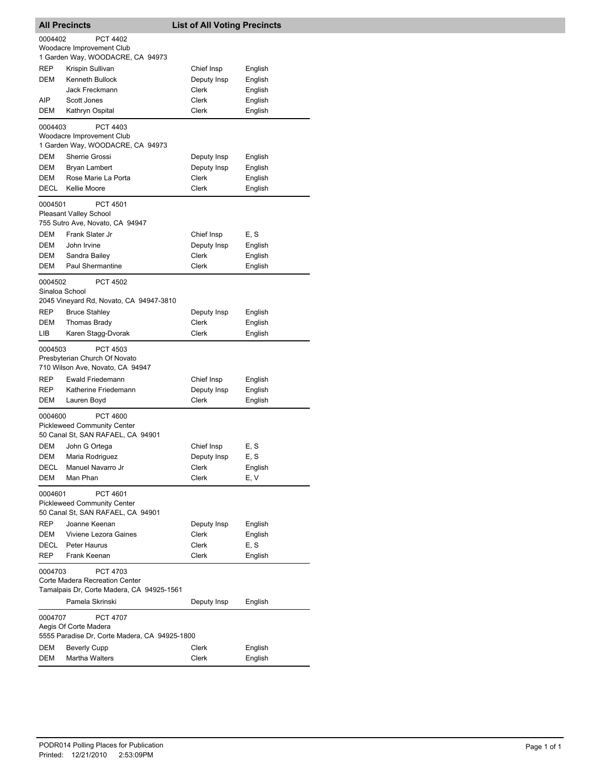| <b>All Precincts</b>                                                                                                                     |                                                                                  | <b>List of All Voting Precincts</b> |                               |  |
|------------------------------------------------------------------------------------------------------------------------------------------|----------------------------------------------------------------------------------|-------------------------------------|-------------------------------|--|
| 0004402                                                                                                                                  | <b>PCT 4402</b><br>Woodacre Improvement Club<br>1 Garden Way, WOODACRE, CA 94973 |                                     |                               |  |
| <b>REP</b><br><b>DEM</b>                                                                                                                 | Krispin Sullivan<br>Kenneth Bullock<br>Jack Freckmann                            | Chief Insp<br>Deputy Insp<br>Clerk  | English<br>English<br>English |  |
| AIP<br>DEM                                                                                                                               | Scott Jones<br>Kathryn Ospital                                                   | Clerk<br>Clerk                      | English<br>English            |  |
| 0004403                                                                                                                                  | PCT 4403<br>Woodacre Improvement Club<br>1 Garden Way, WOODACRE, CA 94973        |                                     |                               |  |
| DEM<br>DEM<br><b>DEM</b>                                                                                                                 | Sherrie Grossi<br>Bryan Lambert<br>Rose Marie La Porta                           | Deputy Insp<br>Deputy Insp<br>Clerk | English<br>English<br>English |  |
| DECL                                                                                                                                     | <b>Kellie Moore</b>                                                              | Clerk                               | English                       |  |
| 0004501                                                                                                                                  | PCT 4501<br><b>Pleasant Valley School</b><br>755 Sutro Ave, Novato, CA 94947     |                                     |                               |  |
| <b>DEM</b><br>DEM                                                                                                                        | Frank Slater Jr<br>John Irvine                                                   | Chief Insp<br>Deputy Insp           | E, S<br>English               |  |
| DEM<br>DEM                                                                                                                               | Sandra Bailey<br>Paul Shermantine                                                | Clerk<br>Clerk                      | English<br>English            |  |
| 0004502<br>Sinaloa School                                                                                                                | <b>PCT 4502</b><br>2045 Vineyard Rd, Novato, CA 94947-3810                       |                                     |                               |  |
| REP                                                                                                                                      | <b>Bruce Stahley</b>                                                             | Deputy Insp                         | English                       |  |
| DEM<br>LІВ                                                                                                                               | Thomas Brady<br>Karen Stagg-Dvorak                                               | Clerk<br>Clerk                      | English<br>English            |  |
| 0004503<br>PCT 4503<br>Presbyterian Church Of Novato<br>710 Wilson Ave, Novato, CA 94947                                                 |                                                                                  |                                     |                               |  |
| REP                                                                                                                                      | Ewald Friedemann                                                                 | Chief Insp                          | English                       |  |
| REP                                                                                                                                      | Katherine Friedemann                                                             | Deputy Insp                         | English                       |  |
| Clerk<br>English<br>DEM<br>Lauren Boyd<br>PCT 4600<br>0004600<br><b>Pickleweed Community Center</b><br>50 Canal St, SAN RAFAEL, CA 94901 |                                                                                  |                                     |                               |  |
| DEM                                                                                                                                      | John G Ortega                                                                    | Chief Insp                          | E, S                          |  |
| DEM<br>DECL<br>DEM                                                                                                                       | Maria Rodriguez<br>Manuel Navarro Jr<br>Man Phan                                 | Deputy Insp<br>Clerk<br>Clerk       | E, S<br>English<br>E, V       |  |
| 0004601<br>PCT 4601<br><b>Pickleweed Community Center</b><br>50 Canal St, SAN RAFAEL, CA 94901                                           |                                                                                  |                                     |                               |  |
| <b>REP</b><br>DEM<br>DECL                                                                                                                | Joanne Keenan<br>Viviene Lezora Gaines<br>Peter Haurus                           | Deputy Insp<br>Clerk<br>Clerk       | English<br>English<br>E, S    |  |
| <b>REP</b>                                                                                                                               | Frank Keenan                                                                     | Clerk                               | English                       |  |
| PCT 4703<br>0004703<br>Corte Madera Recreation Center<br>Tamalpais Dr, Corte Madera, CA 94925-1561                                       |                                                                                  |                                     |                               |  |
|                                                                                                                                          | Pamela Skrinski                                                                  | Deputy Insp                         | English                       |  |
| 0004707<br><b>PCT 4707</b><br>Aegis Of Corte Madera<br>5555 Paradise Dr, Corte Madera, CA 94925-1800                                     |                                                                                  |                                     |                               |  |
| DEM                                                                                                                                      | <b>Beverly Cupp</b>                                                              | Clerk                               | English                       |  |
| DEM                                                                                                                                      | Martha Walters                                                                   | Clerk                               | English                       |  |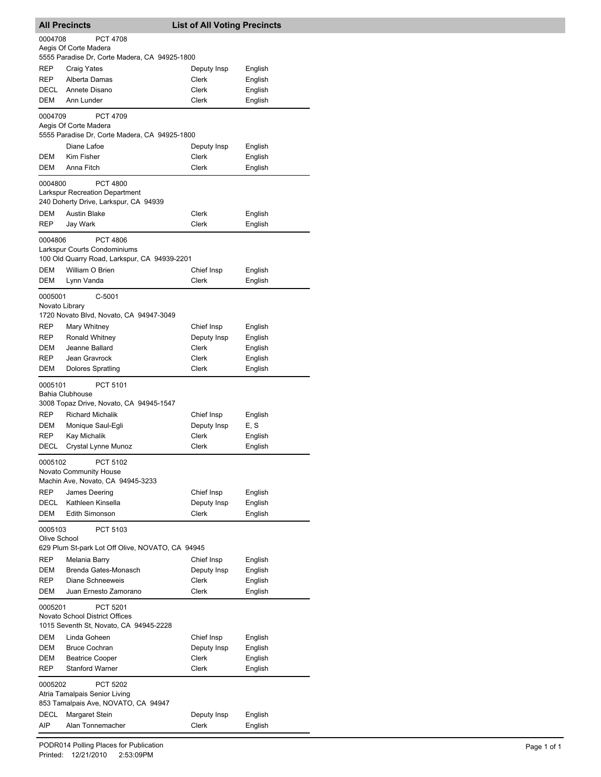| <b>All Precincts</b>                                                     |                                                                        | <b>List of All Voting Precincts</b> |                    |  |
|--------------------------------------------------------------------------|------------------------------------------------------------------------|-------------------------------------|--------------------|--|
| 0004708                                                                  | <b>PCT 4708</b>                                                        |                                     |                    |  |
|                                                                          | Aegis Of Corte Madera<br>5555 Paradise Dr, Corte Madera, CA 94925-1800 |                                     |                    |  |
| REP                                                                      | <b>Craig Yates</b>                                                     | Deputy Insp                         | English            |  |
| REP                                                                      | Alberta Damas                                                          | Clerk                               | English            |  |
| DECL                                                                     | Annete Disano                                                          | Clerk                               | English            |  |
| DEM                                                                      | Ann Lunder                                                             | <b>Clerk</b>                        | English            |  |
| 0004709                                                                  | <b>PCT 4709</b><br>Aegis Of Corte Madera                               |                                     |                    |  |
|                                                                          | 5555 Paradise Dr, Corte Madera, CA 94925-1800                          |                                     |                    |  |
|                                                                          | Diane Lafoe                                                            | Deputy Insp                         | English            |  |
| DEM<br>DEM                                                               | Kim Fisher<br>Anna Fitch                                               | Clerk                               | English            |  |
|                                                                          |                                                                        | Clerk                               | English            |  |
| 0004800                                                                  | <b>PCT 4800</b><br><b>Larkspur Recreation Department</b>               |                                     |                    |  |
|                                                                          | 240 Doherty Drive, Larkspur, CA 94939                                  |                                     |                    |  |
| <b>DEM</b>                                                               | <b>Austin Blake</b>                                                    | Clerk                               | English            |  |
| <b>REP</b>                                                               | Jay Wark                                                               | <b>Clerk</b>                        | English            |  |
| 0004806                                                                  | <b>PCT 4806</b>                                                        |                                     |                    |  |
|                                                                          | Larkspur Courts Condominiums                                           |                                     |                    |  |
|                                                                          | 100 Old Quarry Road, Larkspur, CA 94939-2201                           |                                     |                    |  |
| <b>DEM</b><br>DEM                                                        | William O Brien<br>Lynn Vanda                                          | Chief Insp<br>Clerk                 | English<br>English |  |
|                                                                          |                                                                        |                                     |                    |  |
| 0005001                                                                  | $C-5001$<br>Novato Library                                             |                                     |                    |  |
|                                                                          | 1720 Novato Blvd, Novato, CA 94947-3049                                |                                     |                    |  |
| <b>REP</b>                                                               | Mary Whitney                                                           | Chief Insp                          | English            |  |
| REP                                                                      | Ronald Whitney                                                         | Deputy Insp                         | English            |  |
| DEM                                                                      | Jeanne Ballard                                                         | Clerk                               | English            |  |
| REP                                                                      | Jean Gravrock                                                          | Clerk                               | English            |  |
| DEM                                                                      | <b>Dolores Spratling</b>                                               | Clerk                               | English            |  |
| 0005101                                                                  | PCT 5101                                                               |                                     |                    |  |
|                                                                          | <b>Bahia Clubhouse</b>                                                 |                                     |                    |  |
|                                                                          | 3008 Topaz Drive, Novato, CA 94945-1547                                |                                     |                    |  |
| <b>REP</b>                                                               | <b>Richard Michalik</b>                                                | Chief Insp                          | English            |  |
| DEM<br>REP                                                               | Monique Saul-Egli<br>Kay Michalik                                      | Deputy Insp<br>Clerk                | E, S<br>English    |  |
| DECL                                                                     | Crystal Lynne Munoz                                                    | Clerk                               | English            |  |
| 0005102                                                                  | PCT 5102                                                               |                                     |                    |  |
|                                                                          | <b>Novato Community House</b>                                          |                                     |                    |  |
|                                                                          | Machin Ave, Novato, CA 94945-3233                                      |                                     |                    |  |
| REP                                                                      | James Deering                                                          | Chief Insp                          | English            |  |
| DECL                                                                     | Kathleen Kinsella                                                      | Deputy Insp                         | English            |  |
| DEM                                                                      | Edith Simonson                                                         | <b>Clerk</b>                        | English            |  |
| 0005103<br>PCT 5103                                                      |                                                                        |                                     |                    |  |
| Olive School                                                             |                                                                        |                                     |                    |  |
|                                                                          | 629 Plum St-park Lot Off Olive, NOVATO, CA 94945                       |                                     |                    |  |
| REP                                                                      | Melania Barry                                                          | Chief Insp                          | English            |  |
| DEM<br><b>REP</b>                                                        | Brenda Gates-Monasch<br>Diane Schneeweis                               | Deputy Insp<br>Clerk                | English<br>English |  |
| <b>DEM</b>                                                               | Juan Ernesto Zamorano                                                  | Clerk                               | English            |  |
| 0005201                                                                  | PCT 5201                                                               |                                     |                    |  |
| Novato School District Offices<br>1015 Seventh St, Novato, CA 94945-2228 |                                                                        |                                     |                    |  |
| DEM                                                                      | Linda Goheen                                                           | Chief Insp                          | English            |  |
| DEM                                                                      | <b>Bruce Cochran</b>                                                   | Deputy Insp                         | English            |  |
| DEM                                                                      | <b>Beatrice Cooper</b>                                                 | <b>Clerk</b>                        | English            |  |
| REP                                                                      | <b>Stanford Warner</b>                                                 | Clerk                               | English            |  |
| 0005202                                                                  | PCT 5202<br>Atria Tamalpais Senior Living                              |                                     |                    |  |
|                                                                          | 853 Tamalpais Ave, NOVATO, CA 94947                                    |                                     |                    |  |
| DECL                                                                     | <b>Margaret Stein</b>                                                  | Deputy Insp<br>Clerk                | English            |  |
| AIP                                                                      | Alan Tonnemacher                                                       |                                     | English            |  |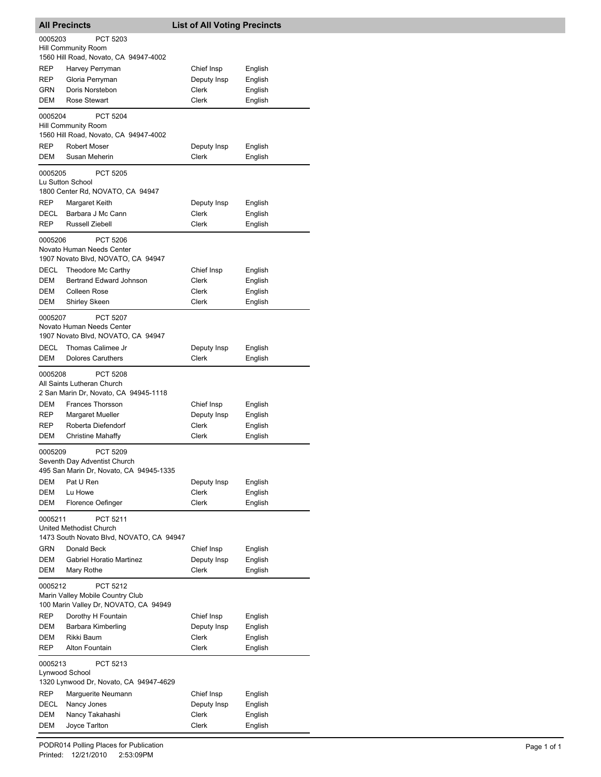| <b>All Precincts</b>                                                                             |                                                                                     | <b>List of All Voting Precincts</b> |                    |  |
|--------------------------------------------------------------------------------------------------|-------------------------------------------------------------------------------------|-------------------------------------|--------------------|--|
| 0005203                                                                                          | PCT 5203                                                                            |                                     |                    |  |
|                                                                                                  | <b>Hill Community Room</b>                                                          |                                     |                    |  |
|                                                                                                  | 1560 Hill Road, Novato, CA 94947-4002                                               |                                     |                    |  |
| REP<br><b>REP</b>                                                                                | Harvey Perryman<br>Gloria Perryman                                                  | Chief Insp<br>Deputy Insp           | English<br>English |  |
| GRN                                                                                              | Doris Norstebon                                                                     | Clerk                               | English            |  |
| DEM                                                                                              | Rose Stewart                                                                        | Clerk                               | English            |  |
| 0005204                                                                                          | <b>PCT 5204</b>                                                                     |                                     |                    |  |
|                                                                                                  | <b>Hill Community Room</b><br>1560 Hill Road, Novato, CA 94947-4002                 |                                     |                    |  |
| <b>REP</b>                                                                                       | <b>Robert Moser</b>                                                                 | Deputy Insp                         | English            |  |
| DEM                                                                                              | Susan Meherin                                                                       | <b>Clerk</b>                        | English            |  |
| 0005205                                                                                          | <b>PCT 5205</b><br>Lu Sutton School<br>1800 Center Rd, NOVATO, CA 94947             |                                     |                    |  |
| <b>REP</b>                                                                                       | Margaret Keith                                                                      | Deputy Insp                         | English            |  |
| DECL                                                                                             | Barbara J Mc Cann                                                                   | Clerk                               | English            |  |
| REP                                                                                              | Russell Ziebell                                                                     | Clerk                               | English            |  |
| 0005206                                                                                          | PCT 5206<br>Novato Human Needs Center<br>1907 Novato Blvd, NOVATO, CA 94947         |                                     |                    |  |
| DECL                                                                                             | Theodore Mc Carthy                                                                  | Chief Insp                          | English            |  |
| DEM                                                                                              | Bertrand Edward Johnson                                                             | Clerk                               | English            |  |
| DEM                                                                                              | <b>Colleen Rose</b>                                                                 | Clerk                               | English            |  |
| DEM                                                                                              | <b>Shirley Skeen</b>                                                                | Clerk                               | English            |  |
| 0005207                                                                                          | <b>PCT 5207</b><br>Novato Human Needs Center<br>1907 Novato Blvd, NOVATO, CA 94947  |                                     |                    |  |
| <b>DECL</b>                                                                                      | Thomas Calimee Jr                                                                   | Deputy Insp                         | English            |  |
| DEM                                                                                              | <b>Dolores Caruthers</b>                                                            | Clerk                               | English            |  |
| 0005208                                                                                          | PCT 5208<br>All Saints Lutheran Church<br>2 San Marin Dr, Novato, CA 94945-1118     |                                     |                    |  |
| DEM<br><b>REP</b>                                                                                | Frances Thorsson<br>Margaret Mueller                                                | Chief Insp<br>Deputy Insp           | English<br>English |  |
| <b>REP</b>                                                                                       | Roberta Diefendorf                                                                  | Clerk                               | English            |  |
| DEM                                                                                              | <b>Christine Mahaffy</b>                                                            | Clerk                               | English            |  |
| 0005209                                                                                          | PCT 5209<br>Seventh Day Adventist Church<br>495 San Marin Dr, Novato, CA 94945-1335 |                                     |                    |  |
| DEM                                                                                              | Pat U Ren                                                                           | Deputy Insp                         | English            |  |
| DEM                                                                                              | Lu Howe                                                                             | <b>Clerk</b>                        | English            |  |
| DEM                                                                                              | Florence Oefinger                                                                   | <b>Clerk</b>                        | English            |  |
| PCT 5211<br>0005211<br>United Methodist Church<br>1473 South Novato Blvd, NOVATO, CA 94947       |                                                                                     |                                     |                    |  |
| GRN                                                                                              | Donald Beck                                                                         | Chief Insp                          | English            |  |
| DEM                                                                                              | <b>Gabriel Horatio Martinez</b>                                                     | Deputy Insp                         | English            |  |
| DEM                                                                                              | Mary Rothe                                                                          | Clerk                               | English            |  |
| 0005212<br>PCT 5212<br>Marin Valley Mobile Country Club<br>100 Marin Valley Dr, NOVATO, CA 94949 |                                                                                     |                                     |                    |  |
| REP                                                                                              | Dorothy H Fountain                                                                  | Chief Insp                          | English            |  |
| DEM                                                                                              | Barbara Kimberling                                                                  | Deputy Insp                         | English            |  |
| DEM                                                                                              | Rikki Baum                                                                          | Clerk                               | English            |  |
| REP                                                                                              | Alton Fountain                                                                      | Clerk                               | English            |  |
| 0005213<br>PCT 5213<br>Lynwood School<br>1320 Lynwood Dr, Novato, CA 94947-4629                  |                                                                                     |                                     |                    |  |
| REP                                                                                              | Marguerite Neumann                                                                  | Chief Insp                          | English            |  |
| DECL                                                                                             | Nancy Jones                                                                         | Deputy Insp                         | English            |  |
| DEM                                                                                              | Nancy Takahashi                                                                     | Clerk                               | English            |  |
| DEM                                                                                              | Joyce Tarlton                                                                       | Clerk                               | English            |  |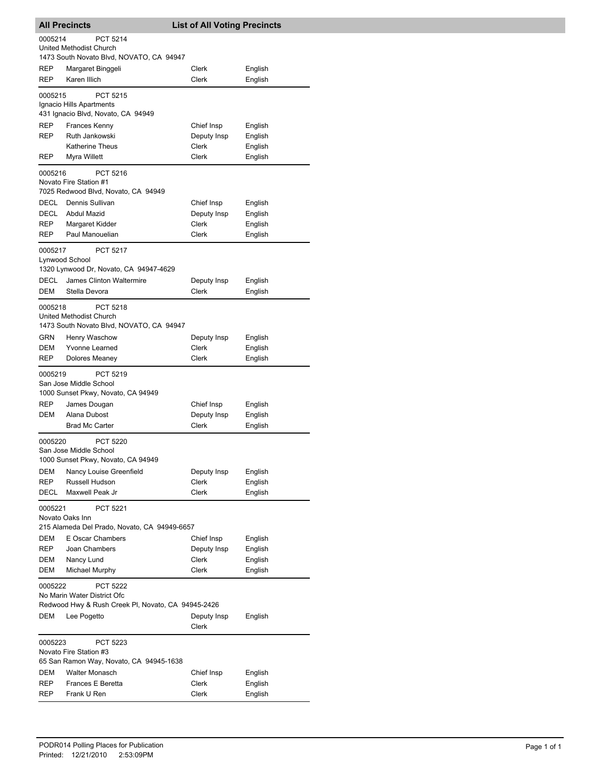| <b>All Precincts</b>                                                                                            |                                                                     |  | <b>List of All Voting Precincts</b> |                    |
|-----------------------------------------------------------------------------------------------------------------|---------------------------------------------------------------------|--|-------------------------------------|--------------------|
| 0005214                                                                                                         | <b>PCT 5214</b>                                                     |  |                                     |                    |
|                                                                                                                 | United Methodist Church                                             |  |                                     |                    |
|                                                                                                                 | 1473 South Novato Blvd, NOVATO, CA 94947                            |  |                                     |                    |
| REP                                                                                                             | Margaret Binggeli                                                   |  | Clerk                               | English            |
| REP                                                                                                             | Karen Illich                                                        |  | Clerk                               | English            |
| 0005215                                                                                                         | <b>PCT 5215</b>                                                     |  |                                     |                    |
|                                                                                                                 | Ignacio Hills Apartments<br>431 Ignacio Blvd, Novato, CA 94949      |  |                                     |                    |
| REP                                                                                                             | Frances Kenny                                                       |  | Chief Insp                          | English            |
| REP                                                                                                             | Ruth Jankowski                                                      |  | Deputy Insp                         | English            |
|                                                                                                                 | <b>Katherine Theus</b>                                              |  | Clerk                               | English            |
| REP                                                                                                             | Myra Willett                                                        |  | <b>Clerk</b>                        | English            |
| 0005216                                                                                                         | PCT 5216                                                            |  |                                     |                    |
|                                                                                                                 | Novato Fire Station #1                                              |  |                                     |                    |
|                                                                                                                 | 7025 Redwood Blvd, Novato, CA 94949                                 |  |                                     |                    |
| DECL                                                                                                            | Dennis Sullivan                                                     |  | Chief Insp                          | English            |
| <b>DECL</b>                                                                                                     | Abdul Mazid                                                         |  | Deputy Insp                         | English            |
| REP                                                                                                             | Margaret Kidder                                                     |  | Clerk                               | English            |
| REP                                                                                                             | Paul Manouelian                                                     |  | Clerk                               | English            |
| 0005217                                                                                                         | <b>PCT 5217</b>                                                     |  |                                     |                    |
| Lynwood School                                                                                                  |                                                                     |  |                                     |                    |
|                                                                                                                 | 1320 Lynwood Dr, Novato, CA 94947-4629                              |  |                                     |                    |
| DECL<br>DEM                                                                                                     | James Clinton Waltermire<br>Stella Devora                           |  | Deputy Insp<br>Clerk                | English<br>English |
|                                                                                                                 |                                                                     |  |                                     |                    |
| 0005218                                                                                                         | <b>PCT 5218</b>                                                     |  |                                     |                    |
|                                                                                                                 | United Methodist Church<br>1473 South Novato Blvd, NOVATO, CA 94947 |  |                                     |                    |
| GRN                                                                                                             | Henry Waschow                                                       |  | Deputy Insp                         | English            |
| DEM                                                                                                             | Yvonne Learned                                                      |  | Clerk                               | English            |
| REP                                                                                                             | Dolores Meaney                                                      |  | Clerk                               | English            |
| 0005219                                                                                                         | PCT 5219                                                            |  |                                     |                    |
|                                                                                                                 | San Jose Middle School                                              |  |                                     |                    |
|                                                                                                                 | 1000 Sunset Pkwy, Novato, CA 94949                                  |  |                                     |                    |
| <b>REP</b>                                                                                                      | James Dougan                                                        |  | Chief Insp                          | English            |
| DEM                                                                                                             | Alana Dubost                                                        |  | Deputy Insp                         | English            |
|                                                                                                                 | <b>Brad Mc Carter</b>                                               |  | Clerk                               | English            |
| 0005220<br><b>PCT 5220</b><br>San Jose Middle School                                                            |                                                                     |  |                                     |                    |
| DEM                                                                                                             | 1000 Sunset Pkwy, Novato, CA 94949<br>Nancy Louise Greenfield       |  | Deputy Insp                         | English            |
| REP                                                                                                             | Russell Hudson                                                      |  | Clerk                               | English            |
| DECL                                                                                                            | Maxwell Peak Jr                                                     |  | <b>Clerk</b>                        | English            |
|                                                                                                                 |                                                                     |  |                                     |                    |
| 0005221<br><b>PCT 5221</b><br>Novato Oaks Inn                                                                   |                                                                     |  |                                     |                    |
|                                                                                                                 | 215 Alameda Del Prado, Novato, CA 94949-6657                        |  |                                     |                    |
| DEM                                                                                                             | E Oscar Chambers                                                    |  | Chief Insp                          | English            |
| REP                                                                                                             | Joan Chambers                                                       |  | Deputy Insp                         | English            |
| DEM                                                                                                             | Nancy Lund                                                          |  | Clerk                               | English            |
| DEM                                                                                                             | Michael Murphy                                                      |  | Clerk                               | English            |
| 0005222<br><b>PCT 5222</b><br>No Marin Water District Ofc<br>Redwood Hwy & Rush Creek PI, Novato, CA 94945-2426 |                                                                     |  |                                     |                    |
| DEM                                                                                                             | Lee Pogetto                                                         |  | Deputy Insp<br>Clerk                | English            |
| PCT 5223<br>0005223<br>Novato Fire Station #3<br>65 San Ramon Way, Novato, CA 94945-1638                        |                                                                     |  |                                     |                    |
| DEM                                                                                                             | <b>Walter Monasch</b>                                               |  | Chief Insp                          | English            |
| REP                                                                                                             | Frances E Beretta                                                   |  | Clerk                               | English            |
| REP                                                                                                             | Frank U Ren                                                         |  | Clerk                               | English            |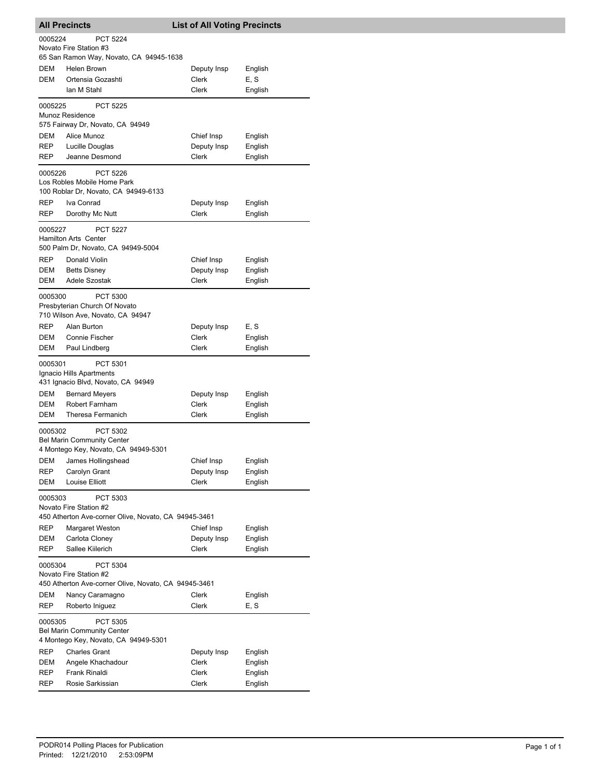| <b>All Precincts</b>                                                                                  |                                                                                       | <b>List of All Voting Precincts</b> |                    |  |
|-------------------------------------------------------------------------------------------------------|---------------------------------------------------------------------------------------|-------------------------------------|--------------------|--|
| 0005224<br>PCT 5224<br>Novato Fire Station #3                                                         |                                                                                       |                                     |                    |  |
|                                                                                                       | 65 San Ramon Way, Novato, CA 94945-1638                                               |                                     |                    |  |
| <b>DEM</b>                                                                                            | Helen Brown                                                                           | Deputy Insp                         | English            |  |
| <b>DEM</b>                                                                                            | Ortensia Gozashti                                                                     | Clerk                               | E, S               |  |
|                                                                                                       | lan M Stahl                                                                           | <b>Clerk</b>                        | English            |  |
| 0005225                                                                                               | PCT 5225<br>Munoz Residence                                                           |                                     |                    |  |
|                                                                                                       | 575 Fairway Dr, Novato, CA 94949                                                      |                                     |                    |  |
| DEM                                                                                                   | Alice Munoz                                                                           | Chief Insp                          | English            |  |
| REP<br>REP                                                                                            | Lucille Douglas<br>Jeanne Desmond                                                     | Deputy Insp<br>Clerk                | English<br>English |  |
|                                                                                                       |                                                                                       |                                     |                    |  |
| 0005226                                                                                               | PCT 5226<br>Los Robles Mobile Home Park<br>100 Roblar Dr, Novato, CA 94949-6133       |                                     |                    |  |
| REP                                                                                                   | Iva Conrad                                                                            | Deputy Insp                         | English            |  |
| <b>REP</b>                                                                                            | Dorothy Mc Nutt                                                                       | Clerk                               | English            |  |
| 0005227                                                                                               | PCT 5227<br><b>Hamilton Arts Center</b>                                               |                                     |                    |  |
|                                                                                                       | 500 Palm Dr, Novato, CA 94949-5004                                                    |                                     |                    |  |
| REP                                                                                                   | Donald Violin                                                                         | Chief Insp                          | English            |  |
| DEM                                                                                                   | <b>Betts Disney</b>                                                                   | Deputy Insp                         | English            |  |
| DEM                                                                                                   | Adele Szostak                                                                         | Clerk                               | English            |  |
| 0005300                                                                                               | PCT 5300<br>Presbyterian Church Of Novato<br>710 Wilson Ave, Novato, CA 94947         |                                     |                    |  |
| REP                                                                                                   | Alan Burton                                                                           | Deputy Insp                         | E, S               |  |
| DEM                                                                                                   | <b>Connie Fischer</b>                                                                 | Clerk                               | English            |  |
| DEM                                                                                                   | Paul Lindberg                                                                         | Clerk                               | English            |  |
| 0005301                                                                                               | PCT 5301<br>Ignacio Hills Apartments<br>431 Ignacio Blvd, Novato, CA 94949            |                                     |                    |  |
| DEM                                                                                                   | <b>Bernard Meyers</b>                                                                 | Deputy Insp                         | English            |  |
| DEM                                                                                                   | Robert Farnham                                                                        | Clerk                               | English            |  |
| DEM                                                                                                   | Theresa Fermanich                                                                     | Clerk                               | English            |  |
| 0005302                                                                                               | PCT 5302<br><b>Bel Marin Community Center</b><br>4 Montego Key, Novato, CA 94949-5301 |                                     |                    |  |
| DEM                                                                                                   | James Hollingshead                                                                    | Chief Insp                          | English            |  |
| REP                                                                                                   | Carolyn Grant                                                                         | Deputy Insp                         | English            |  |
| DEM                                                                                                   | <b>Louise Elliott</b>                                                                 | <b>Clerk</b>                        | English            |  |
| 0005303<br>PCT 5303<br>Novato Fire Station #2<br>450 Atherton Ave-corner Olive, Novato, CA 94945-3461 |                                                                                       |                                     |                    |  |
| REP                                                                                                   | Margaret Weston                                                                       | Chief Insp                          | English            |  |
| DEM                                                                                                   | Carlota Cloney                                                                        | Deputy Insp                         | English            |  |
| REP                                                                                                   | Sallee Kiilerich                                                                      | Clerk                               | English            |  |
| PCT 5304<br>0005304<br>Novato Fire Station #2                                                         |                                                                                       |                                     |                    |  |
| 450 Atherton Ave-corner Olive, Novato, CA 94945-3461                                                  |                                                                                       |                                     |                    |  |
| DEM                                                                                                   | Nancy Caramagno                                                                       | Clerk                               | English            |  |
| REP                                                                                                   | Roberto Iniguez                                                                       | Clerk                               | E, S               |  |
| PCT 5305<br>0005305<br><b>Bel Marin Community Center</b>                                              |                                                                                       |                                     |                    |  |
| 4 Montego Key, Novato, CA 94949-5301                                                                  |                                                                                       |                                     |                    |  |
| REP                                                                                                   | <b>Charles Grant</b>                                                                  | Deputy Insp                         | English            |  |
| DEM                                                                                                   | Angele Khachadour<br>Frank Rinaldi                                                    | Clerk<br>Clerk                      | English            |  |
| REP<br>REP                                                                                            | Rosie Sarkissian                                                                      | Clerk                               | English<br>English |  |